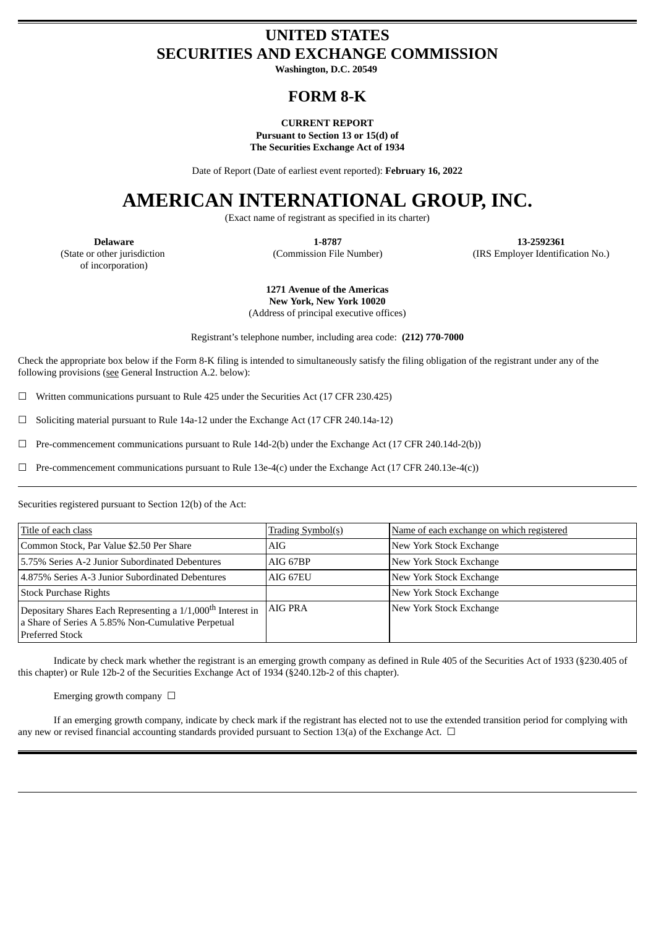## **UNITED STATES SECURITIES AND EXCHANGE COMMISSION**

**Washington, D.C. 20549**

## **FORM 8-K**

#### **CURRENT REPORT Pursuant to Section 13 or 15(d) of The Securities Exchange Act of 1934**

Date of Report (Date of earliest event reported): **February 16, 2022**

# **AMERICAN INTERNATIONAL GROUP, INC.**

(Exact name of registrant as specified in its charter)

(State or other jurisdiction of incorporation)

**Delaware 1-8787 13-2592361** (Commission File Number) (IRS Employer Identification No.)

> **1271 Avenue of the Americas New York, New York 10020**

(Address of principal executive offices)

Registrant's telephone number, including area code: **(212) 770-7000**

Check the appropriate box below if the Form 8-K filing is intended to simultaneously satisfy the filing obligation of the registrant under any of the following provisions (see General Instruction A.2. below):

 $\Box$  Written communications pursuant to Rule 425 under the Securities Act (17 CFR 230.425)

 $\Box$  Soliciting material pursuant to Rule 14a-12 under the Exchange Act (17 CFR 240.14a-12)

 $\Box$  Pre-commencement communications pursuant to Rule 14d-2(b) under the Exchange Act (17 CFR 240.14d-2(b))

 $\Box$  Pre-commencement communications pursuant to Rule 13e-4(c) under the Exchange Act (17 CFR 240.13e-4(c))

Securities registered pursuant to Section 12(b) of the Act:

| Title of each class                                                                                                                                     | <u> Trading Symbol(s)</u> | Name of each exchange on which registered |
|---------------------------------------------------------------------------------------------------------------------------------------------------------|---------------------------|-------------------------------------------|
| Common Stock, Par Value \$2.50 Per Share                                                                                                                | AIG                       | New York Stock Exchange                   |
| 15.75% Series A-2 Junior Subordinated Debentures                                                                                                        | AIG 67BP                  | New York Stock Exchange                   |
| 4.875% Series A-3 Junior Subordinated Debentures                                                                                                        | AIG 67EU                  | New York Stock Exchange                   |
| <b>Stock Purchase Rights</b>                                                                                                                            |                           | New York Stock Exchange                   |
| Depositary Shares Each Representing a 1/1,000 <sup>th</sup> Interest in<br>a Share of Series A 5.85% Non-Cumulative Perpetual<br><b>Preferred Stock</b> | AIG PRA                   | New York Stock Exchange                   |

Indicate by check mark whether the registrant is an emerging growth company as defined in Rule 405 of the Securities Act of 1933 (§230.405 of this chapter) or Rule 12b-2 of the Securities Exchange Act of 1934 (§240.12b-2 of this chapter).

Emerging growth company  $\Box$ 

If an emerging growth company, indicate by check mark if the registrant has elected not to use the extended transition period for complying with any new or revised financial accounting standards provided pursuant to Section 13(a) of the Exchange Act.  $\Box$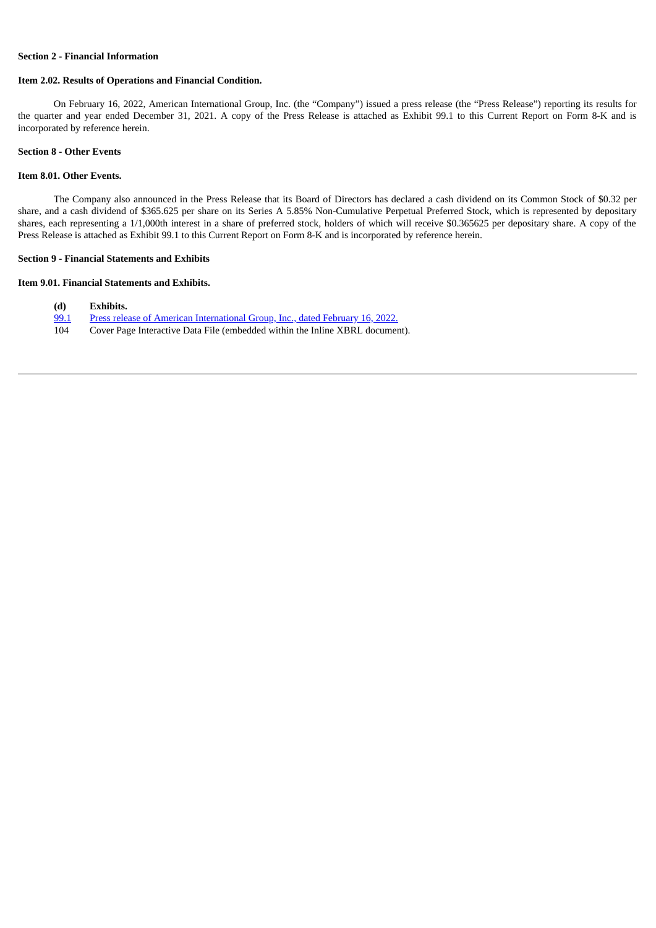#### **Section 2 - Financial Information**

#### **Item 2.02. Results of Operations and Financial Condition.**

On February 16, 2022, American International Group, Inc. (the "Company") issued a press release (the "Press Release") reporting its results for the quarter and year ended December 31, 2021. A copy of the Press Release is attached as Exhibit 99.1 to this Current Report on Form 8-K and is incorporated by reference herein.

#### **Section 8 - Other Events**

#### **Item 8.01. Other Events.**

The Company also announced in the Press Release that its Board of Directors has declared a cash dividend on its Common Stock of \$0.32 per share, and a cash dividend of \$365.625 per share on its Series A 5.85% Non-Cumulative Perpetual Preferred Stock, which is represented by depositary shares, each representing a 1/1,000th interest in a share of preferred stock, holders of which will receive \$0.365625 per depositary share. A copy of the Press Release is attached as Exhibit 99.1 to this Current Report on Form 8-K and is incorporated by reference herein.

#### **Section 9 - Financial Statements and Exhibits**

### **Item 9.01. Financial Statements and Exhibits.**

| (d)  | Exhibits.                                                                            |
|------|--------------------------------------------------------------------------------------|
| 99.1 | <u>Press release of American International Group, Inc., dated February 16, 2022.</u> |
| 104  | Cover Page Interactive Data File (embedded within the Inline XBRL document).         |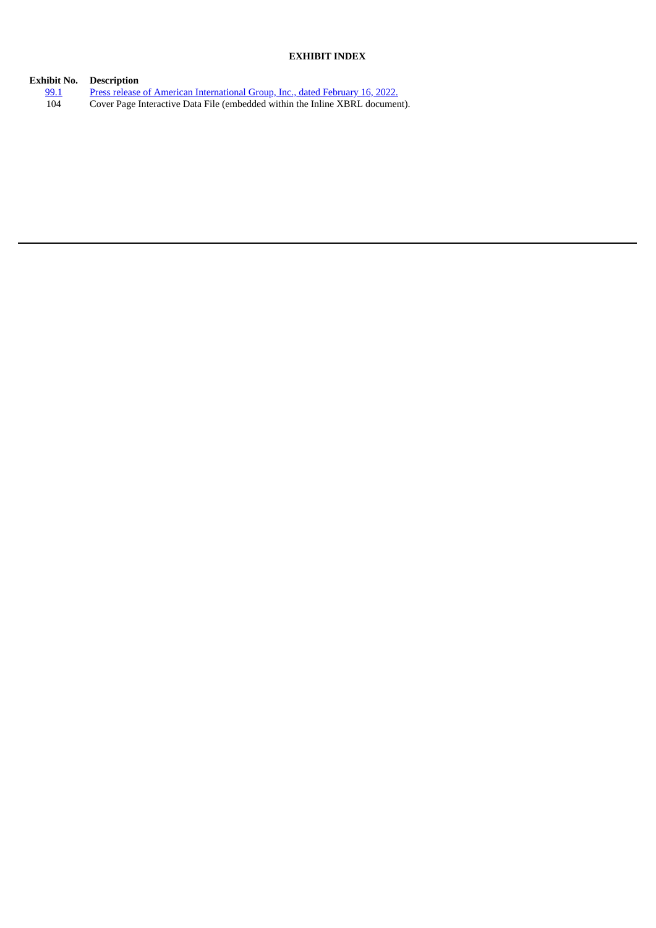## **EXHIBIT INDEX**

|      | <b>Exhibit No. Description</b>                                                |
|------|-------------------------------------------------------------------------------|
| 99.1 | Press release of American International Group, Inc., dated February 16, 2022. |
| 104  | Cover Page Interactive Data File (embedded within the Inline XBRL document).  |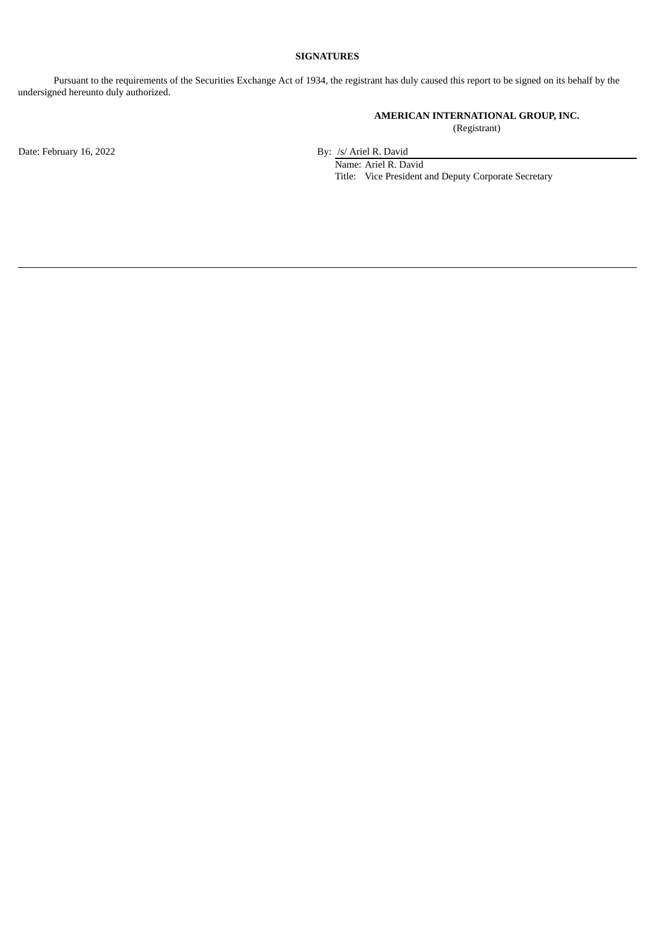### **SIGNATURES**

Pursuant to the requirements of the Securities Exchange Act of 1934, the registrant has duly caused this report to be signed on its behalf by the undersigned hereunto duly authorized.

## **AMERICAN INTERNATIONAL GROUP, INC.**

(Registrant)

Date: February 16, 2022 By: /s/ Ariel R. David

Name: Ariel R. David Title: Vice President and Deputy Corporate Secretary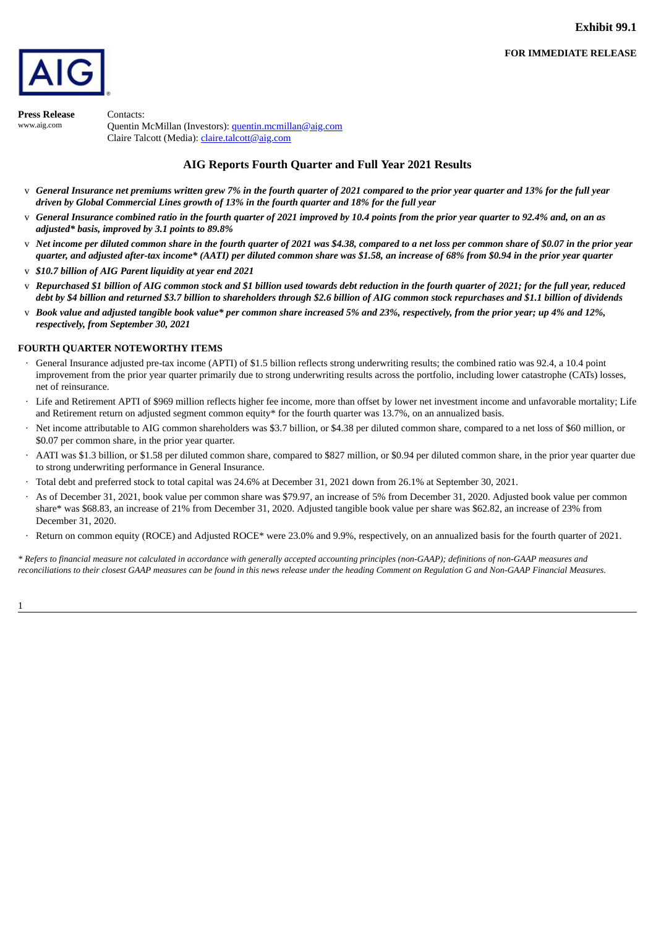<span id="page-4-0"></span>

**Press Release** www.aig.com

Contacts: Quentin McMillan (Investors): quentin.mcmillan@aig.com Claire Talcott (Media): claire.talcott@aig.com

## **AIG Reports Fourth Quarter and Full Year 2021 Results**

- v General Insurance net premiums written grew 7% in the fourth quarter of 2021 compared to the prior year quarter and 13% for the full year *driven by Global Commercial Lines growth of 13% in the fourth quarter and 18% for the full year*
- v General Insurance combined ratio in the fourth quarter of 2021 improved by 10.4 points from the prior year quarter to 92.4% and, on an as *adjusted\* basis, improved by 3.1 points to 89.8%*
- v Net income per diluted common share in the fourth quarter of 2021 was \$4.38, compared to a net loss per common share of \$0.07 in the prior year quarter, and adjusted after-tax income\* (AATI) per diluted common share was \$1.58, an increase of 68% from \$0.94 in the prior year quarter
- v *\$10.7 billion of AIG Parent liquidity at year end 2021*
- v Repurchased \$1 billion of AIG common stock and \$1 billion used towards debt reduction in the fourth quarter of 2021; for the full year, reduced debt by \$4 billion and returned \$3.7 billion to shareholders through \$2.6 billion of AIG common stock repurchases and \$1.1 billion of dividends
- y Book value and adjusted tangible book value\* per common share increased 5% and 23%, respectively, from the prior year; up 4% and 12%, *respectively, from September 30, 2021*

#### **FOURTH QUARTER NOTEWORTHY ITEMS**

- · General Insurance adjusted pre-tax income (APTI) of \$1.5 billion reflects strong underwriting results; the combined ratio was 92.4, a 10.4 point improvement from the prior year quarter primarily due to strong underwriting results across the portfolio, including lower catastrophe (CATs) losses, net of reinsurance.
- · Life and Retirement APTI of \$969 million reflects higher fee income, more than offset by lower net investment income and unfavorable mortality; Life and Retirement return on adjusted segment common equity\* for the fourth quarter was 13.7%, on an annualized basis.
- · Net income attributable to AIG common shareholders was \$3.7 billion, or \$4.38 per diluted common share, compared to a net loss of \$60 million, or \$0.07 per common share, in the prior year quarter.
- · AATI was \$1.3 billion, or \$1.58 per diluted common share, compared to \$827 million, or \$0.94 per diluted common share, in the prior year quarter due to strong underwriting performance in General Insurance.
- · Total debt and preferred stock to total capital was 24.6% at December 31, 2021 down from 26.1% at September 30, 2021.
- · As of December 31, 2021, book value per common share was \$79.97, an increase of 5% from December 31, 2020. Adjusted book value per common share\* was \$68.83, an increase of 21% from December 31, 2020. Adjusted tangible book value per share was \$62.82, an increase of 23% from December 31, 2020.
- · Return on common equity (ROCE) and Adjusted ROCE\* were 23.0% and 9.9%, respectively, on an annualized basis for the fourth quarter of 2021.

*\* Refers to financial measure not calculated in accordance with generally accepted accounting principles (non-GAAP); definitions of non-GAAP measures and reconciliations to their closest GAAP measures can be found in this news release under the heading Comment on Regulation G and Non-GAAP Financial Measures.*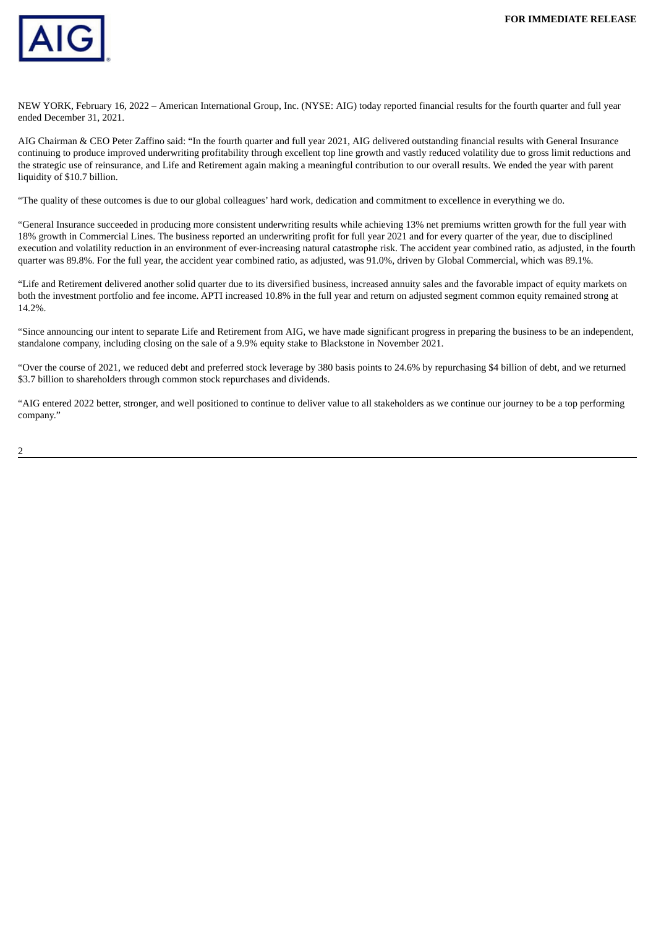

NEW YORK, February 16, 2022 – American International Group, Inc. (NYSE: AIG) today reported financial results for the fourth quarter and full year ended December 31, 2021.

AIG Chairman & CEO Peter Zaffino said: "In the fourth quarter and full year 2021, AIG delivered outstanding financial results with General Insurance continuing to produce improved underwriting profitability through excellent top line growth and vastly reduced volatility due to gross limit reductions and the strategic use of reinsurance, and Life and Retirement again making a meaningful contribution to our overall results. We ended the year with parent liquidity of \$10.7 billion.

"The quality of these outcomes is due to our global colleagues' hard work, dedication and commitment to excellence in everything we do.

"General Insurance succeeded in producing more consistent underwriting results while achieving 13% net premiums written growth for the full year with 18% growth in Commercial Lines. The business reported an underwriting profit for full year 2021 and for every quarter of the year, due to disciplined execution and volatility reduction in an environment of ever-increasing natural catastrophe risk. The accident year combined ratio, as adjusted, in the fourth quarter was 89.8%. For the full year, the accident year combined ratio, as adjusted, was 91.0%, driven by Global Commercial, which was 89.1%.

"Life and Retirement delivered another solid quarter due to its diversified business, increased annuity sales and the favorable impact of equity markets on both the investment portfolio and fee income. APTI increased 10.8% in the full year and return on adjusted segment common equity remained strong at 14.2%.

"Since announcing our intent to separate Life and Retirement from AIG, we have made significant progress in preparing the business to be an independent, standalone company, including closing on the sale of a 9.9% equity stake to Blackstone in November 2021.

"Over the course of 2021, we reduced debt and preferred stock leverage by 380 basis points to 24.6% by repurchasing \$4 billion of debt, and we returned \$3.7 billion to shareholders through common stock repurchases and dividends.

"AIG entered 2022 better, stronger, and well positioned to continue to deliver value to all stakeholders as we continue our journey to be a top performing company."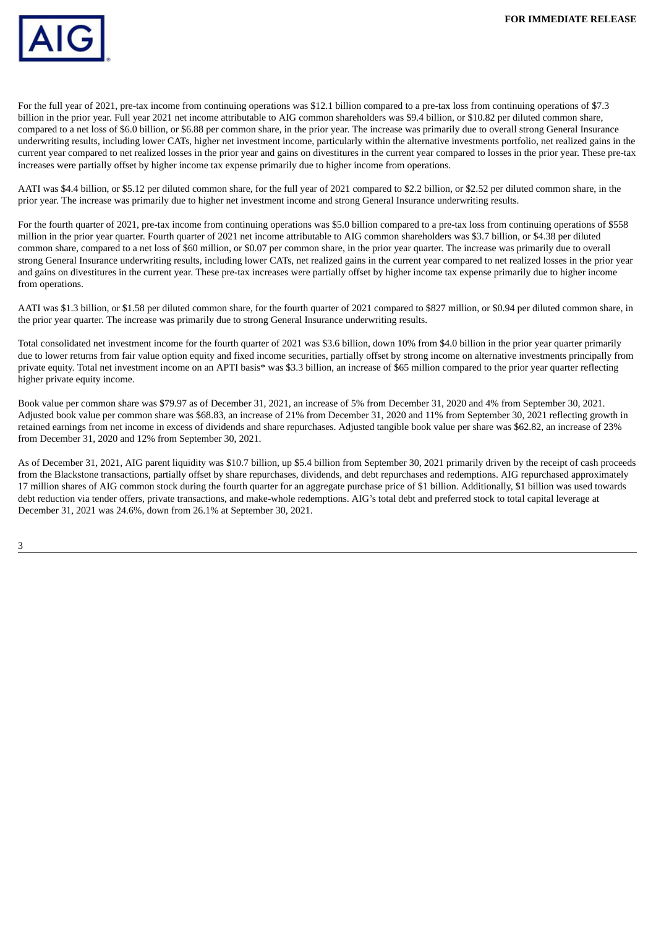

For the full year of 2021, pre-tax income from continuing operations was \$12.1 billion compared to a pre-tax loss from continuing operations of \$7.3 billion in the prior year. Full year 2021 net income attributable to AIG common shareholders was \$9.4 billion, or \$10.82 per diluted common share, compared to a net loss of \$6.0 billion, or \$6.88 per common share, in the prior year. The increase was primarily due to overall strong General Insurance underwriting results, including lower CATs, higher net investment income, particularly within the alternative investments portfolio, net realized gains in the current year compared to net realized losses in the prior year and gains on divestitures in the current year compared to losses in the prior year. These pre-tax increases were partially offset by higher income tax expense primarily due to higher income from operations.

AATI was \$4.4 billion, or \$5.12 per diluted common share, for the full year of 2021 compared to \$2.2 billion, or \$2.52 per diluted common share, in the prior year. The increase was primarily due to higher net investment income and strong General Insurance underwriting results.

For the fourth quarter of 2021, pre-tax income from continuing operations was \$5.0 billion compared to a pre-tax loss from continuing operations of \$558 million in the prior year quarter. Fourth quarter of 2021 net income attributable to AIG common shareholders was \$3.7 billion, or \$4.38 per diluted common share, compared to a net loss of \$60 million, or \$0.07 per common share, in the prior year quarter. The increase was primarily due to overall strong General Insurance underwriting results, including lower CATs, net realized gains in the current year compared to net realized losses in the prior year and gains on divestitures in the current year. These pre-tax increases were partially offset by higher income tax expense primarily due to higher income from operations.

AATI was \$1.3 billion, or \$1.58 per diluted common share, for the fourth quarter of 2021 compared to \$827 million, or \$0.94 per diluted common share, in the prior year quarter. The increase was primarily due to strong General Insurance underwriting results.

Total consolidated net investment income for the fourth quarter of 2021 was \$3.6 billion, down 10% from \$4.0 billion in the prior year quarter primarily due to lower returns from fair value option equity and fixed income securities, partially offset by strong income on alternative investments principally from private equity. Total net investment income on an APTI basis\* was \$3.3 billion, an increase of \$65 million compared to the prior year quarter reflecting higher private equity income.

Book value per common share was \$79.97 as of December 31, 2021, an increase of 5% from December 31, 2020 and 4% from September 30, 2021. Adjusted book value per common share was \$68.83, an increase of 21% from December 31, 2020 and 11% from September 30, 2021 reflecting growth in retained earnings from net income in excess of dividends and share repurchases. Adjusted tangible book value per share was \$62.82, an increase of 23% from December 31, 2020 and 12% from September 30, 2021.

As of December 31, 2021, AIG parent liquidity was \$10.7 billion, up \$5.4 billion from September 30, 2021 primarily driven by the receipt of cash proceeds from the Blackstone transactions, partially offset by share repurchases, dividends, and debt repurchases and redemptions. AIG repurchased approximately 17 million shares of AIG common stock during the fourth quarter for an aggregate purchase price of \$1 billion. Additionally, \$1 billion was used towards debt reduction via tender offers, private transactions, and make-whole redemptions. AIG's total debt and preferred stock to total capital leverage at December 31, 2021 was 24.6%, down from 26.1% at September 30, 2021.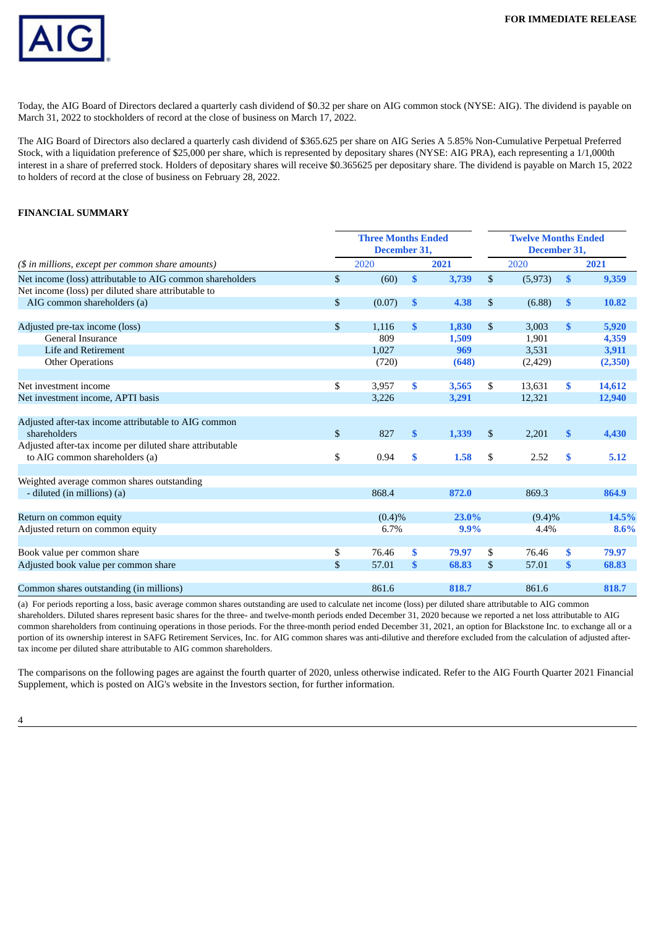

Today, the AIG Board of Directors declared a quarterly cash dividend of \$0.32 per share on AIG common stock (NYSE: AIG). The dividend is payable on March 31, 2022 to stockholders of record at the close of business on March 17, 2022.

The AIG Board of Directors also declared a quarterly cash dividend of \$365.625 per share on AIG Series A 5.85% Non-Cumulative Perpetual Preferred Stock, with a liquidation preference of \$25,000 per share, which is represented by depositary shares (NYSE: AIG PRA), each representing a 1/1,000th interest in a share of preferred stock. Holders of depositary shares will receive \$0.365625 per depositary share. The dividend is payable on March 15, 2022 to holders of record at the close of business on February 28, 2022.

### **FINANCIAL SUMMARY**

|                                                           |      | <b>Three Months Ended</b><br>December 31, |                           | <b>Twelve Months Ended</b><br>December 31, |              |           |                   |         |  |
|-----------------------------------------------------------|------|-------------------------------------------|---------------------------|--------------------------------------------|--------------|-----------|-------------------|---------|--|
| (\$ in millions, except per common share amounts)         |      | 2020                                      | 2021                      |                                            |              | 2020      |                   | 2021    |  |
| Net income (loss) attributable to AIG common shareholders | $\$$ | (60)                                      | $\boldsymbol{\mathsf{s}}$ | 3,739                                      | \$           | (5, 973)  | $\boldsymbol{\$}$ | 9,359   |  |
| Net income (loss) per diluted share attributable to       |      |                                           |                           |                                            |              |           |                   |         |  |
| AIG common shareholders (a)                               | $\$$ | (0.07)                                    | $\mathbf{\$}$             | 4.38                                       | \$           | (6.88)    | \$                | 10.82   |  |
| Adjusted pre-tax income (loss)                            | $\$$ | 1,116                                     | \$                        | 1,830                                      | $\mathbb{S}$ | 3,003     | \$                | 5,920   |  |
| General Insurance                                         |      | 809                                       |                           | 1,509                                      |              | 1,901     |                   | 4,359   |  |
| <b>Life and Retirement</b>                                |      | 1,027                                     |                           | 969                                        |              | 3,531     |                   | 3,911   |  |
| <b>Other Operations</b>                                   |      | (720)                                     |                           | (648)                                      |              | (2, 429)  |                   | (2,350) |  |
| Net investment income                                     | \$   | 3,957                                     | \$                        | 3,565                                      | \$           | 13,631    | \$                | 14,612  |  |
| Net investment income, APTI basis                         |      | 3,226                                     |                           | 3,291                                      |              | 12,321    |                   | 12,940  |  |
| Adjusted after-tax income attributable to AIG common      |      |                                           |                           |                                            |              |           |                   |         |  |
| shareholders                                              | $\$$ | 827                                       | $\boldsymbol{\mathsf{s}}$ | 1,339                                      | \$           | 2,201     | $\boldsymbol{\$}$ | 4,430   |  |
| Adjusted after-tax income per diluted share attributable  |      |                                           |                           |                                            |              |           |                   |         |  |
| to AIG common shareholders (a)                            | \$   | 0.94                                      | $\mathbf{s}$              | 1.58                                       | \$           | 2.52      | \$                | 5.12    |  |
| Weighted average common shares outstanding                |      |                                           |                           |                                            |              |           |                   |         |  |
| - diluted (in millions) (a)                               |      | 868.4                                     |                           | 872.0                                      |              | 869.3     |                   | 864.9   |  |
| Return on common equity                                   |      | (0.4)%                                    |                           | 23.0%                                      |              | $(9.4)\%$ |                   | 14.5%   |  |
| Adjusted return on common equity                          |      | 6.7%                                      |                           | 9.9%                                       |              | 4.4%      |                   | 8.6%    |  |
| Book value per common share                               | \$   | 76.46                                     | \$                        | 79.97                                      | \$           | 76.46     | \$                | 79.97   |  |
| Adjusted book value per common share                      | \$   | 57.01                                     | $\boldsymbol{s}$          | 68.83                                      | \$           | 57.01     | \$                | 68.83   |  |
| Common shares outstanding (in millions)                   |      | 861.6                                     |                           | 818.7                                      |              | 861.6     |                   | 818.7   |  |

(a) For periods reporting a loss, basic average common shares outstanding are used to calculate net income (loss) per diluted share attributable to AIG common shareholders. Diluted shares represent basic shares for the three- and twelve-month periods ended December 31, 2020 because we reported a net loss attributable to AIG common shareholders from continuing operations in those periods. For the three-month period ended December 31, 2021, an option for Blackstone Inc. to exchange all or a portion of its ownership interest in SAFG Retirement Services, Inc. for AIG common shares was anti-dilutive and therefore excluded from the calculation of adjusted aftertax income per diluted share attributable to AIG common shareholders.

The comparisons on the following pages are against the fourth quarter of 2020, unless otherwise indicated. Refer to the AIG Fourth Quarter 2021 Financial Supplement, which is posted on AIG's website in the Investors section, for further information.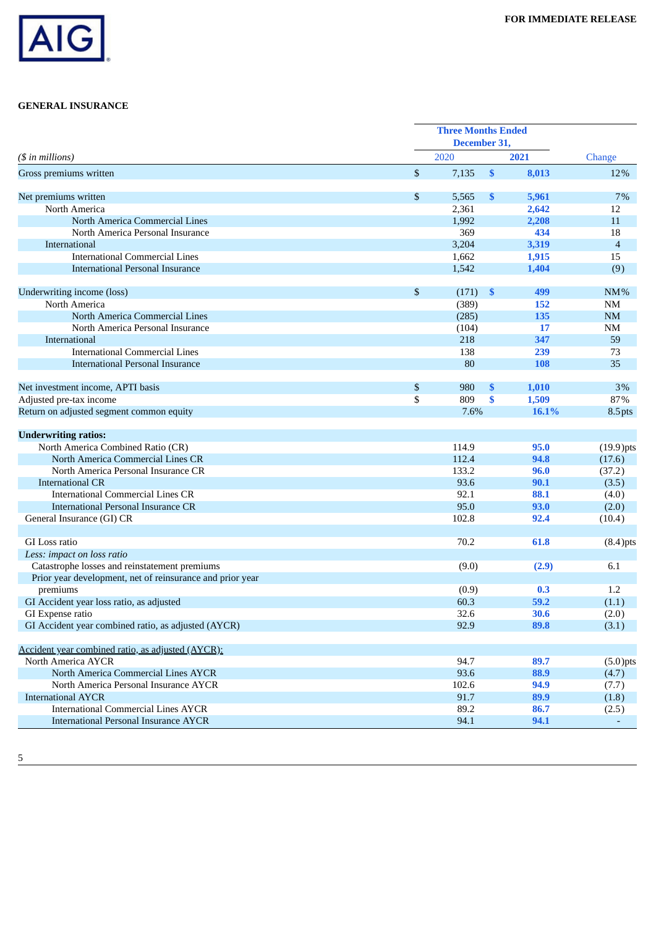

### **GENERAL INSURANCE**

| North America<br>North America Commercial Lines<br>North America Personal Insurance<br>International<br><b>International Commercial Lines</b><br><b>International Personal Insurance</b><br>North America<br>North America Commercial Lines<br>North America Personal Insurance<br>International<br>International Commercial Lines<br>International Personal Insurance |                           | <b>Three Months Ended</b><br>December 31, |                           |            |                |
|------------------------------------------------------------------------------------------------------------------------------------------------------------------------------------------------------------------------------------------------------------------------------------------------------------------------------------------------------------------------|---------------------------|-------------------------------------------|---------------------------|------------|----------------|
| $($ \$ in millions)                                                                                                                                                                                                                                                                                                                                                    |                           | 2020                                      |                           | 2021       | Change         |
| Gross premiums written                                                                                                                                                                                                                                                                                                                                                 | $\boldsymbol{\mathsf{S}}$ | 7,135                                     | $\boldsymbol{\mathsf{s}}$ | 8,013      | 12%            |
| Net premiums written                                                                                                                                                                                                                                                                                                                                                   | \$                        | 5,565                                     | \$                        | 5,961      | 7%             |
|                                                                                                                                                                                                                                                                                                                                                                        |                           | 2,361                                     |                           | 2,642      | 12             |
|                                                                                                                                                                                                                                                                                                                                                                        |                           | 1,992                                     |                           | 2,208      | 11             |
|                                                                                                                                                                                                                                                                                                                                                                        |                           | 369                                       |                           | 434        | 18             |
|                                                                                                                                                                                                                                                                                                                                                                        |                           | 3,204                                     |                           | 3,319      | $\overline{4}$ |
|                                                                                                                                                                                                                                                                                                                                                                        |                           | 1,662                                     |                           | 1,915      | 15             |
|                                                                                                                                                                                                                                                                                                                                                                        |                           | 1,542                                     |                           | 1,404      | (9)            |
| Underwriting income (loss)                                                                                                                                                                                                                                                                                                                                             | $\mathbb{S}$              | (171)                                     | \$                        | 499        | NM%            |
|                                                                                                                                                                                                                                                                                                                                                                        |                           | (389)                                     |                           | 152        | NM             |
|                                                                                                                                                                                                                                                                                                                                                                        |                           | (285)                                     |                           | 135        | <b>NM</b>      |
|                                                                                                                                                                                                                                                                                                                                                                        |                           | (104)                                     |                           | 17         | <b>NM</b>      |
|                                                                                                                                                                                                                                                                                                                                                                        |                           | 218                                       |                           | 347        | 59             |
|                                                                                                                                                                                                                                                                                                                                                                        |                           | 138                                       |                           | 239        | 73             |
|                                                                                                                                                                                                                                                                                                                                                                        |                           | 80                                        |                           | <b>108</b> | 35             |
| Net investment income, APTI basis                                                                                                                                                                                                                                                                                                                                      | \$                        | 980                                       | $\boldsymbol{\mathsf{s}}$ | 1,010      | 3%             |
| Adjusted pre-tax income                                                                                                                                                                                                                                                                                                                                                | \$                        | 809                                       | \$                        | 1,509      | 87%            |
| Return on adjusted segment common equity                                                                                                                                                                                                                                                                                                                               |                           | 7.6%                                      |                           | 16.1%      | 8.5 pts        |
| <b>Underwriting ratios:</b>                                                                                                                                                                                                                                                                                                                                            |                           |                                           |                           |            |                |
| North America Combined Ratio (CR)                                                                                                                                                                                                                                                                                                                                      |                           | 114.9                                     |                           | 95.0       | $(19.9)$ pts   |
| North America Commercial Lines CR                                                                                                                                                                                                                                                                                                                                      |                           | 112.4                                     |                           | 94.8       | (17.6)         |
| North America Personal Insurance CR                                                                                                                                                                                                                                                                                                                                    |                           | 133.2                                     |                           | 96.0       | (37.2)         |
| <b>International CR</b>                                                                                                                                                                                                                                                                                                                                                |                           | 93.6                                      |                           | 90.1       | (3.5)          |
| <b>International Commercial Lines CR</b>                                                                                                                                                                                                                                                                                                                               |                           | 92.1                                      |                           | 88.1       | (4.0)          |
| <b>International Personal Insurance CR</b>                                                                                                                                                                                                                                                                                                                             |                           | 95.0                                      |                           | 93.0       | (2.0)          |
| General Insurance (GI) CR                                                                                                                                                                                                                                                                                                                                              |                           | 102.8                                     |                           | 92.4       | (10.4)         |
| GI Loss ratio                                                                                                                                                                                                                                                                                                                                                          |                           | 70.2                                      |                           | 61.8       | $(8.4)$ pts    |
| Less: impact on loss ratio                                                                                                                                                                                                                                                                                                                                             |                           |                                           |                           |            |                |
| Catastrophe losses and reinstatement premiums                                                                                                                                                                                                                                                                                                                          |                           | (9.0)                                     |                           | (2.9)      | 6.1            |
| Prior year development, net of reinsurance and prior year                                                                                                                                                                                                                                                                                                              |                           |                                           |                           |            |                |
| premiums                                                                                                                                                                                                                                                                                                                                                               |                           | (0.9)                                     |                           | 0.3        | 1.2            |
| GI Accident year loss ratio, as adjusted                                                                                                                                                                                                                                                                                                                               |                           | 60.3                                      |                           | 59.2       | (1.1)          |
| GI Expense ratio                                                                                                                                                                                                                                                                                                                                                       |                           | 32.6                                      |                           | 30.6       | (2.0)          |
| GI Accident year combined ratio, as adjusted (AYCR)                                                                                                                                                                                                                                                                                                                    |                           | 92.9                                      |                           | 89.8       | (3.1)          |
| Accident year combined ratio, as adjusted (AYCR):                                                                                                                                                                                                                                                                                                                      |                           |                                           |                           |            |                |
| North America AYCR                                                                                                                                                                                                                                                                                                                                                     |                           | 94.7                                      |                           | 89.7       | $(5.0)$ pts    |
| North America Commercial Lines AYCR                                                                                                                                                                                                                                                                                                                                    |                           | 93.6                                      |                           | 88.9       | (4.7)          |
| North America Personal Insurance AYCR                                                                                                                                                                                                                                                                                                                                  |                           | 102.6                                     |                           | 94.9       | (7.7)          |
| <b>International AYCR</b>                                                                                                                                                                                                                                                                                                                                              |                           | 91.7                                      |                           | 89.9       | (1.8)          |
| <b>International Commercial Lines AYCR</b>                                                                                                                                                                                                                                                                                                                             |                           | 89.2                                      |                           | 86.7       | (2.5)          |
| <b>International Personal Insurance AYCR</b>                                                                                                                                                                                                                                                                                                                           |                           | 94.1                                      |                           | 94.1       |                |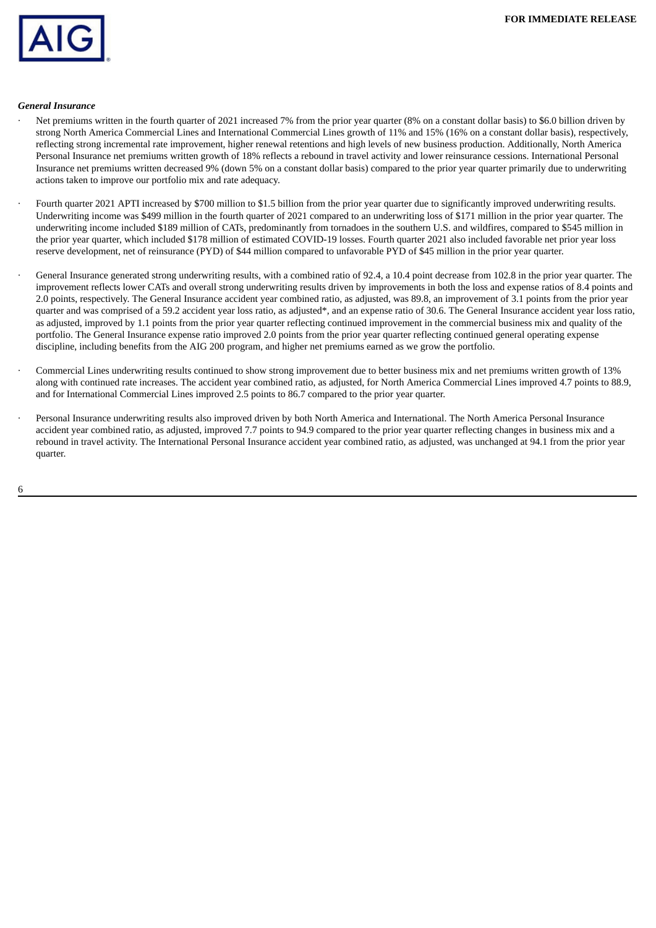

#### *General Insurance*

- Net premiums written in the fourth quarter of 2021 increased 7% from the prior year quarter (8% on a constant dollar basis) to \$6.0 billion driven by strong North America Commercial Lines and International Commercial Lines growth of 11% and 15% (16% on a constant dollar basis), respectively, reflecting strong incremental rate improvement, higher renewal retentions and high levels of new business production. Additionally, North America Personal Insurance net premiums written growth of 18% reflects a rebound in travel activity and lower reinsurance cessions. International Personal Insurance net premiums written decreased 9% (down 5% on a constant dollar basis) compared to the prior year quarter primarily due to underwriting actions taken to improve our portfolio mix and rate adequacy.
- · Fourth quarter 2021 APTI increased by \$700 million to \$1.5 billion from the prior year quarter due to significantly improved underwriting results. Underwriting income was \$499 million in the fourth quarter of 2021 compared to an underwriting loss of \$171 million in the prior year quarter. The underwriting income included \$189 million of CATs, predominantly from tornadoes in the southern U.S. and wildfires, compared to \$545 million in the prior year quarter, which included \$178 million of estimated COVID-19 losses. Fourth quarter 2021 also included favorable net prior year loss reserve development, net of reinsurance (PYD) of \$44 million compared to unfavorable PYD of \$45 million in the prior year quarter.
- General Insurance generated strong underwriting results, with a combined ratio of 92.4, a 10.4 point decrease from 102.8 in the prior year quarter. The improvement reflects lower CATs and overall strong underwriting results driven by improvements in both the loss and expense ratios of 8.4 points and 2.0 points, respectively. The General Insurance accident year combined ratio, as adjusted, was 89.8, an improvement of 3.1 points from the prior year quarter and was comprised of a 59.2 accident year loss ratio, as adjusted\*, and an expense ratio of 30.6. The General Insurance accident year loss ratio, as adjusted, improved by 1.1 points from the prior year quarter reflecting continued improvement in the commercial business mix and quality of the portfolio. The General Insurance expense ratio improved 2.0 points from the prior year quarter reflecting continued general operating expense discipline, including benefits from the AIG 200 program, and higher net premiums earned as we grow the portfolio.
- · Commercial Lines underwriting results continued to show strong improvement due to better business mix and net premiums written growth of 13% along with continued rate increases. The accident year combined ratio, as adjusted, for North America Commercial Lines improved 4.7 points to 88.9, and for International Commercial Lines improved 2.5 points to 86.7 compared to the prior year quarter.
- · Personal Insurance underwriting results also improved driven by both North America and International. The North America Personal Insurance accident year combined ratio, as adjusted, improved 7.7 points to 94.9 compared to the prior year quarter reflecting changes in business mix and a rebound in travel activity. The International Personal Insurance accident year combined ratio, as adjusted, was unchanged at 94.1 from the prior year quarter.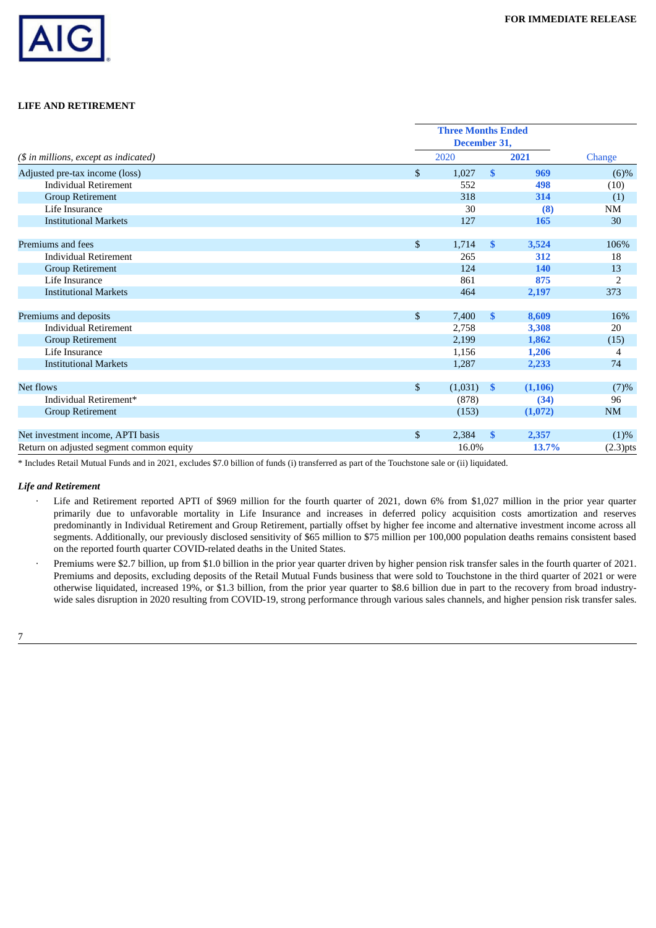

#### **LIFE AND RETIREMENT**

|                                           |                | <b>Three Months Ended</b><br>December 31, |               |          |                |  |
|-------------------------------------------|----------------|-------------------------------------------|---------------|----------|----------------|--|
| (\$ in millions, except as indicated)     |                | 2020                                      |               | 2021     | Change         |  |
| Adjusted pre-tax income (loss)            | $\mathbb{S}$   | 1,027                                     | $\mathbf{s}$  | 969      | (6)%           |  |
| <b>Individual Retirement</b>              |                | 552                                       |               | 498      | (10)           |  |
| <b>Group Retirement</b>                   |                | 318                                       |               | 314      | (1)            |  |
| Life Insurance                            |                | 30                                        |               | (8)      | <b>NM</b>      |  |
| <b>Institutional Markets</b>              |                | 127                                       |               | 165      | 30             |  |
|                                           |                |                                           |               |          |                |  |
| Premiums and fees                         | $\mathfrak{S}$ | 1,714                                     | $\mathbf{s}$  | 3,524    | 106%           |  |
| <b>Individual Retirement</b>              |                | 265                                       |               | 312      | 18             |  |
| <b>Group Retirement</b>                   |                | 124                                       |               | 140      | 13             |  |
| Life Insurance                            |                | 861                                       |               | 875      | $\overline{2}$ |  |
| <b>Institutional Markets</b>              |                | 464                                       |               | 2,197    | 373            |  |
| Premiums and deposits                     | \$             | 7,400                                     | $\mathbf{s}$  | 8,609    | 16%            |  |
| <b>Individual Retirement</b>              |                |                                           |               |          | 20             |  |
|                                           |                | 2,758                                     |               | 3,308    |                |  |
| <b>Group Retirement</b><br>Life Insurance |                | 2,199                                     |               | 1,862    | (15)           |  |
| <b>Institutional Markets</b>              |                | 1,156                                     |               | 1,206    | 4<br>74        |  |
|                                           |                | 1,287                                     |               | 2,233    |                |  |
| Net flows                                 | \$             | (1,031)                                   | $\mathbf{\$}$ | (1, 106) | (7)%           |  |
| Individual Retirement*                    |                | (878)                                     |               | (34)     | 96             |  |
| <b>Group Retirement</b>                   |                | (153)                                     |               | (1,072)  | <b>NM</b>      |  |
|                                           |                |                                           |               |          |                |  |
| Net investment income, APTI basis         | \$             | 2,384                                     | $\mathbf{\$}$ | 2,357    | (1)%           |  |
| Return on adjusted segment common equity  |                | 16.0%                                     |               | 13.7%    | $(2.3)$ pts    |  |

\* Includes Retail Mutual Funds and in 2021, excludes \$7.0 billion of funds (i) transferred as part of the Touchstone sale or (ii) liquidated.

#### *Life and Retirement*

- Life and Retirement reported APTI of \$969 million for the fourth quarter of 2021, down 6% from \$1,027 million in the prior year quarter primarily due to unfavorable mortality in Life Insurance and increases in deferred policy acquisition costs amortization and reserves predominantly in Individual Retirement and Group Retirement, partially offset by higher fee income and alternative investment income across all segments. Additionally, our previously disclosed sensitivity of \$65 million to \$75 million per 100,000 population deaths remains consistent based on the reported fourth quarter COVID-related deaths in the United States.
- · Premiums were \$2.7 billion, up from \$1.0 billion in the prior year quarter driven by higher pension risk transfer sales in the fourth quarter of 2021. Premiums and deposits, excluding deposits of the Retail Mutual Funds business that were sold to Touchstone in the third quarter of 2021 or were otherwise liquidated, increased 19%, or \$1.3 billion, from the prior year quarter to \$8.6 billion due in part to the recovery from broad industrywide sales disruption in 2020 resulting from COVID-19, strong performance through various sales channels, and higher pension risk transfer sales.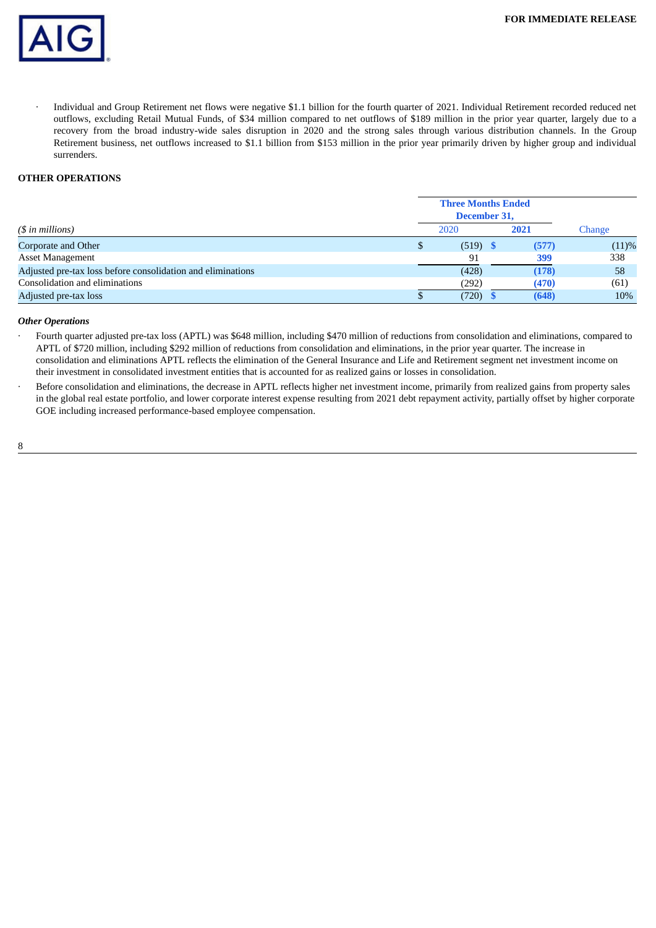

· Individual and Group Retirement net flows were negative \$1.1 billion for the fourth quarter of 2021. Individual Retirement recorded reduced net outflows, excluding Retail Mutual Funds, of \$34 million compared to net outflows of \$189 million in the prior year quarter, largely due to a recovery from the broad industry-wide sales disruption in 2020 and the strong sales through various distribution channels. In the Group Retirement business, net outflows increased to \$1.1 billion from \$153 million in the prior year primarily driven by higher group and individual surrenders.

#### **OTHER OPERATIONS**

|                                                             |    | <b>Three Months Ended</b><br>December 31, |      |       |        |  |  |  |
|-------------------------------------------------------------|----|-------------------------------------------|------|-------|--------|--|--|--|
| $(S \in \mathbb{N})$ in millions)                           |    | 2020                                      | 2021 |       | Change |  |  |  |
| Corporate and Other                                         | \$ | $(519)$ \$                                |      | (577) | (11)%  |  |  |  |
| <b>Asset Management</b>                                     |    | 91                                        |      | 399   | 338    |  |  |  |
| Adjusted pre-tax loss before consolidation and eliminations |    | (428)                                     |      | (178) | 58     |  |  |  |
| Consolidation and eliminations                              |    | (292)                                     |      | (470) | (61)   |  |  |  |
| Adjusted pre-tax loss                                       | Φ  | (720)                                     |      | (648) | 10%    |  |  |  |

#### *Other Operations*

- · Fourth quarter adjusted pre-tax loss (APTL) was \$648 million, including \$470 million of reductions from consolidation and eliminations, compared to APTL of \$720 million, including \$292 million of reductions from consolidation and eliminations, in the prior year quarter. The increase in consolidation and eliminations APTL reflects the elimination of the General Insurance and Life and Retirement segment net investment income on their investment in consolidated investment entities that is accounted for as realized gains or losses in consolidation.
- Before consolidation and eliminations, the decrease in APTL reflects higher net investment income, primarily from realized gains from property sales in the global real estate portfolio, and lower corporate interest expense resulting from 2021 debt repayment activity, partially offset by higher corporate GOE including increased performance-based employee compensation.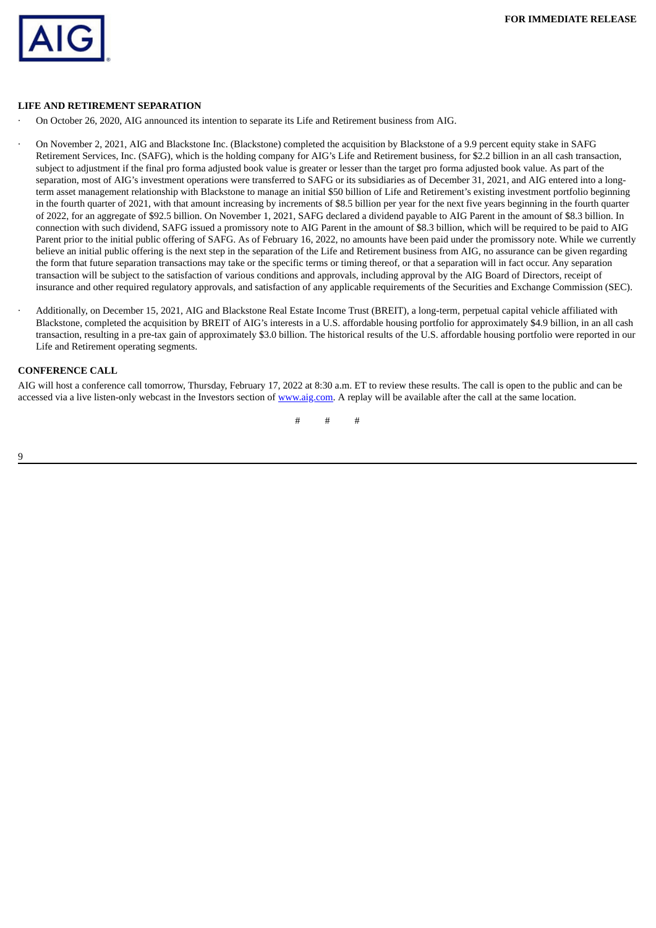

#### **LIFE AND RETIREMENT SEPARATION**

- · On October 26, 2020, AIG announced its intention to separate its Life and Retirement business from AIG.
- · On November 2, 2021, AIG and Blackstone Inc. (Blackstone) completed the acquisition by Blackstone of a 9.9 percent equity stake in SAFG Retirement Services, Inc. (SAFG), which is the holding company for AIG's Life and Retirement business, for \$2.2 billion in an all cash transaction, subject to adjustment if the final pro forma adjusted book value is greater or lesser than the target pro forma adjusted book value. As part of the separation, most of AIG's investment operations were transferred to SAFG or its subsidiaries as of December 31, 2021, and AIG entered into a longterm asset management relationship with Blackstone to manage an initial \$50 billion of Life and Retirement's existing investment portfolio beginning in the fourth quarter of 2021, with that amount increasing by increments of \$8.5 billion per year for the next five years beginning in the fourth quarter of 2022, for an aggregate of \$92.5 billion. On November 1, 2021, SAFG declared a dividend payable to AIG Parent in the amount of \$8.3 billion. In connection with such dividend, SAFG issued a promissory note to AIG Parent in the amount of \$8.3 billion, which will be required to be paid to AIG Parent prior to the initial public offering of SAFG. As of February 16, 2022, no amounts have been paid under the promissory note. While we currently believe an initial public offering is the next step in the separation of the Life and Retirement business from AIG, no assurance can be given regarding the form that future separation transactions may take or the specific terms or timing thereof, or that a separation will in fact occur. Any separation transaction will be subject to the satisfaction of various conditions and approvals, including approval by the AIG Board of Directors, receipt of insurance and other required regulatory approvals, and satisfaction of any applicable requirements of the Securities and Exchange Commission (SEC).
- · Additionally, on December 15, 2021, AIG and Blackstone Real Estate Income Trust (BREIT), a long-term, perpetual capital vehicle affiliated with Blackstone, completed the acquisition by BREIT of AIG's interests in a U.S. affordable housing portfolio for approximately \$4.9 billion, in an all cash transaction, resulting in a pre-tax gain of approximately \$3.0 billion. The historical results of the U.S. affordable housing portfolio were reported in our Life and Retirement operating segments.

#### **CONFERENCE CALL**

AIG will host a conference call tomorrow, Thursday, February 17, 2022 at 8:30 a.m. ET to review these results. The call is open to the public and can be accessed via a live listen-only webcast in the Investors section of www.aig.com. A replay will be available after the call at the same location.

# # #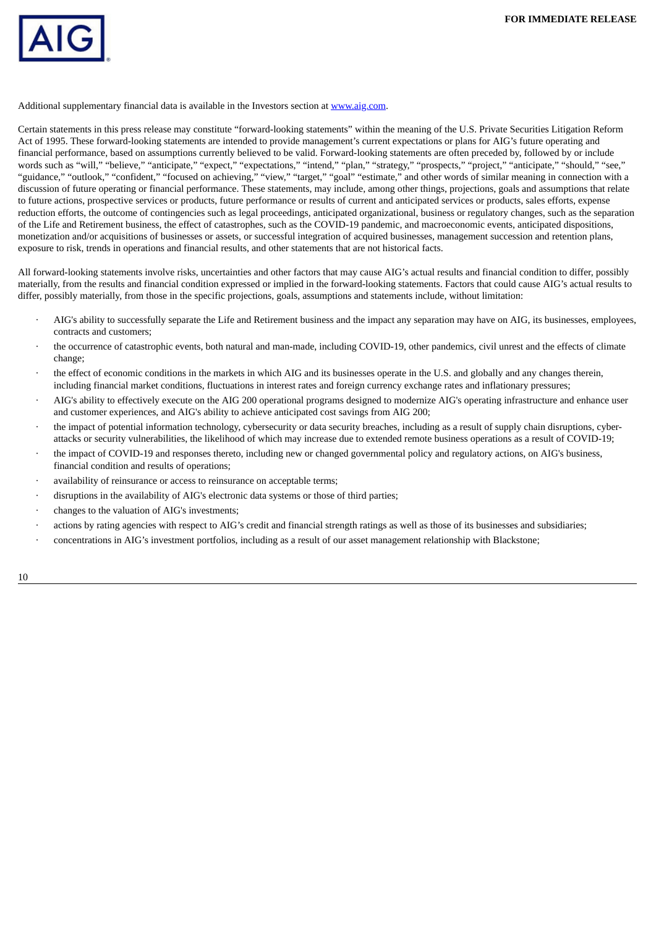

Additional supplementary financial data is available in the Investors section at www.aig.com.

Certain statements in this press release may constitute "forward-looking statements" within the meaning of the U.S. Private Securities Litigation Reform Act of 1995. These forward-looking statements are intended to provide management's current expectations or plans for AIG's future operating and financial performance, based on assumptions currently believed to be valid. Forward-looking statements are often preceded by, followed by or include words such as "will," "believe," "anticipate," "expect," "expectations," "intend," "plan," "strategy," "prospects," "project," "anticipate," "should," "see," "guidance," "outlook," "confident," "focused on achieving," "view," "target," "goal" "estimate," and other words of similar meaning in connection with a discussion of future operating or financial performance. These statements, may include, among other things, projections, goals and assumptions that relate to future actions, prospective services or products, future performance or results of current and anticipated services or products, sales efforts, expense reduction efforts, the outcome of contingencies such as legal proceedings, anticipated organizational, business or regulatory changes, such as the separation of the Life and Retirement business, the effect of catastrophes, such as the COVID-19 pandemic, and macroeconomic events, anticipated dispositions, monetization and/or acquisitions of businesses or assets, or successful integration of acquired businesses, management succession and retention plans, exposure to risk, trends in operations and financial results, and other statements that are not historical facts.

All forward-looking statements involve risks, uncertainties and other factors that may cause AIG's actual results and financial condition to differ, possibly materially, from the results and financial condition expressed or implied in the forward-looking statements. Factors that could cause AIG's actual results to differ, possibly materially, from those in the specific projections, goals, assumptions and statements include, without limitation:

- · AIG's ability to successfully separate the Life and Retirement business and the impact any separation may have on AIG, its businesses, employees, contracts and customers;
- · the occurrence of catastrophic events, both natural and man-made, including COVID-19, other pandemics, civil unrest and the effects of climate change;
- · the effect of economic conditions in the markets in which AIG and its businesses operate in the U.S. and globally and any changes therein, including financial market conditions, fluctuations in interest rates and foreign currency exchange rates and inflationary pressures;
- · AIG's ability to effectively execute on the AIG 200 operational programs designed to modernize AIG's operating infrastructure and enhance user and customer experiences, and AIG's ability to achieve anticipated cost savings from AIG 200;
- the impact of potential information technology, cybersecurity or data security breaches, including as a result of supply chain disruptions, cyberattacks or security vulnerabilities, the likelihood of which may increase due to extended remote business operations as a result of COVID-19;
- · the impact of COVID-19 and responses thereto, including new or changed governmental policy and regulatory actions, on AIG's business, financial condition and results of operations;
- availability of reinsurance or access to reinsurance on acceptable terms;
- disruptions in the availability of AIG's electronic data systems or those of third parties;
- · changes to the valuation of AIG's investments;
- · actions by rating agencies with respect to AIG's credit and financial strength ratings as well as those of its businesses and subsidiaries;
- · concentrations in AIG's investment portfolios, including as a result of our asset management relationship with Blackstone;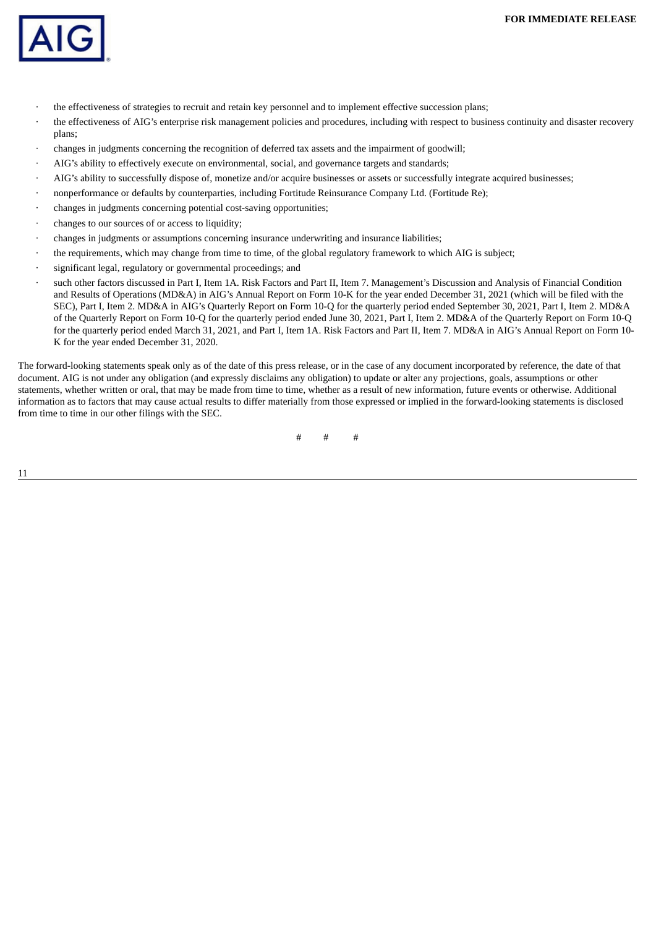

- · the effectiveness of strategies to recruit and retain key personnel and to implement effective succession plans;
- · the effectiveness of AIG's enterprise risk management policies and procedures, including with respect to business continuity and disaster recovery plans;
- · changes in judgments concerning the recognition of deferred tax assets and the impairment of goodwill;
- · AIG's ability to effectively execute on environmental, social, and governance targets and standards;
- · AIG's ability to successfully dispose of, monetize and/or acquire businesses or assets or successfully integrate acquired businesses;
- · nonperformance or defaults by counterparties, including Fortitude Reinsurance Company Ltd. (Fortitude Re);
- · changes in judgments concerning potential cost-saving opportunities;
- · changes to our sources of or access to liquidity;
- · changes in judgments or assumptions concerning insurance underwriting and insurance liabilities;
- · the requirements, which may change from time to time, of the global regulatory framework to which AIG is subject;
- significant legal, regulatory or governmental proceedings; and
- such other factors discussed in Part I, Item 1A. Risk Factors and Part II, Item 7. Management's Discussion and Analysis of Financial Condition and Results of Operations (MD&A) in AIG's Annual Report on Form 10-K for the year ended December 31, 2021 (which will be filed with the SEC), Part I, Item 2. MD&A in AIG's Quarterly Report on Form 10-Q for the quarterly period ended September 30, 2021, Part I, Item 2. MD&A of the Quarterly Report on Form 10-Q for the quarterly period ended June 30, 2021, Part I, Item 2. MD&A of the Quarterly Report on Form 10-Q for the quarterly period ended March 31, 2021, and Part I, Item 1A. Risk Factors and Part II, Item 7. MD&A in AIG's Annual Report on Form 10- K for the year ended December 31, 2020.

The forward-looking statements speak only as of the date of this press release, or in the case of any document incorporated by reference, the date of that document. AIG is not under any obligation (and expressly disclaims any obligation) to update or alter any projections, goals, assumptions or other statements, whether written or oral, that may be made from time to time, whether as a result of new information, future events or otherwise. Additional information as to factors that may cause actual results to differ materially from those expressed or implied in the forward-looking statements is disclosed from time to time in our other filings with the SEC.

# # #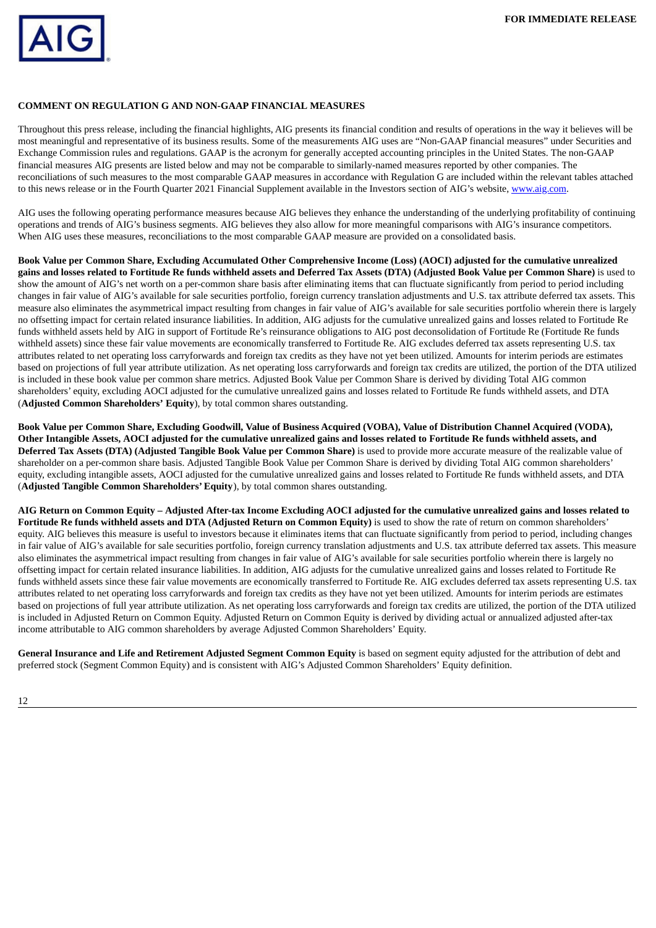

#### **COMMENT ON REGULATION G AND NON-GAAP FINANCIAL MEASURES**

Throughout this press release, including the financial highlights, AIG presents its financial condition and results of operations in the way it believes will be most meaningful and representative of its business results. Some of the measurements AIG uses are "Non-GAAP financial measures" under Securities and Exchange Commission rules and regulations. GAAP is the acronym for generally accepted accounting principles in the United States. The non-GAAP financial measures AIG presents are listed below and may not be comparable to similarly-named measures reported by other companies. The reconciliations of such measures to the most comparable GAAP measures in accordance with Regulation G are included within the relevant tables attached to this news release or in the Fourth Quarter 2021 Financial Supplement available in the Investors section of AIG's website, www.aig.com.

AIG uses the following operating performance measures because AIG believes they enhance the understanding of the underlying profitability of continuing operations and trends of AIG's business segments. AIG believes they also allow for more meaningful comparisons with AIG's insurance competitors. When AIG uses these measures, reconciliations to the most comparable GAAP measure are provided on a consolidated basis.

Book Value per Common Share, Excluding Accumulated Other Comprehensive Income (Loss) (AOCI) adjusted for the cumulative unrealized gains and losses related to Fortitude Re funds withheld assets and Deferred Tax Assets (DTA) (Adjusted Book Value per Common Share) is used to show the amount of AIG's net worth on a per-common share basis after eliminating items that can fluctuate significantly from period to period including changes in fair value of AIG's available for sale securities portfolio, foreign currency translation adjustments and U.S. tax attribute deferred tax assets. This measure also eliminates the asymmetrical impact resulting from changes in fair value of AIG's available for sale securities portfolio wherein there is largely no offsetting impact for certain related insurance liabilities. In addition, AIG adjusts for the cumulative unrealized gains and losses related to Fortitude Re funds withheld assets held by AIG in support of Fortitude Re's reinsurance obligations to AIG post deconsolidation of Fortitude Re (Fortitude Re funds withheld assets) since these fair value movements are economically transferred to Fortitude Re. AIG excludes deferred tax assets representing U.S. tax attributes related to net operating loss carryforwards and foreign tax credits as they have not yet been utilized. Amounts for interim periods are estimates based on projections of full year attribute utilization. As net operating loss carryforwards and foreign tax credits are utilized, the portion of the DTA utilized is included in these book value per common share metrics. Adjusted Book Value per Common Share is derived by dividing Total AIG common shareholders' equity, excluding AOCI adjusted for the cumulative unrealized gains and losses related to Fortitude Re funds withheld assets, and DTA (**Adjusted Common Shareholders' Equity**), by total common shares outstanding.

Book Value per Common Share, Excluding Goodwill, Value of Business Acquired (VOBA), Value of Distribution Channel Acquired (VODA), Other Intangible Assets, AOCI adjusted for the cumulative unrealized gains and losses related to Fortitude Re funds withheld assets, and **Deferred Tax Assets (DTA) (Adjusted Tangible Book Value per Common Share)** is used to provide more accurate measure of the realizable value of shareholder on a per-common share basis. Adjusted Tangible Book Value per Common Share is derived by dividing Total AIG common shareholders' equity, excluding intangible assets, AOCI adjusted for the cumulative unrealized gains and losses related to Fortitude Re funds withheld assets, and DTA (**Adjusted Tangible Common Shareholders' Equity**), by total common shares outstanding.

AIG Return on Common Equity - Adjusted After-tax Income Excluding AOCI adjusted for the cumulative unrealized gains and losses related to **Fortitude Re funds withheld assets and DTA (Adjusted Return on Common Equity)** is used to show the rate of return on common shareholders' equity. AIG believes this measure is useful to investors because it eliminates items that can fluctuate significantly from period to period, including changes in fair value of AIG's available for sale securities portfolio, foreign currency translation adjustments and U.S. tax attribute deferred tax assets. This measure also eliminates the asymmetrical impact resulting from changes in fair value of AIG's available for sale securities portfolio wherein there is largely no offsetting impact for certain related insurance liabilities. In addition, AIG adjusts for the cumulative unrealized gains and losses related to Fortitude Re funds withheld assets since these fair value movements are economically transferred to Fortitude Re. AIG excludes deferred tax assets representing U.S. tax attributes related to net operating loss carryforwards and foreign tax credits as they have not yet been utilized. Amounts for interim periods are estimates based on projections of full year attribute utilization. As net operating loss carryforwards and foreign tax credits are utilized, the portion of the DTA utilized is included in Adjusted Return on Common Equity. Adjusted Return on Common Equity is derived by dividing actual or annualized adjusted after-tax income attributable to AIG common shareholders by average Adjusted Common Shareholders' Equity.

**General Insurance and Life and Retirement Adjusted Segment Common Equity** is based on segment equity adjusted for the attribution of debt and preferred stock (Segment Common Equity) and is consistent with AIG's Adjusted Common Shareholders' Equity definition.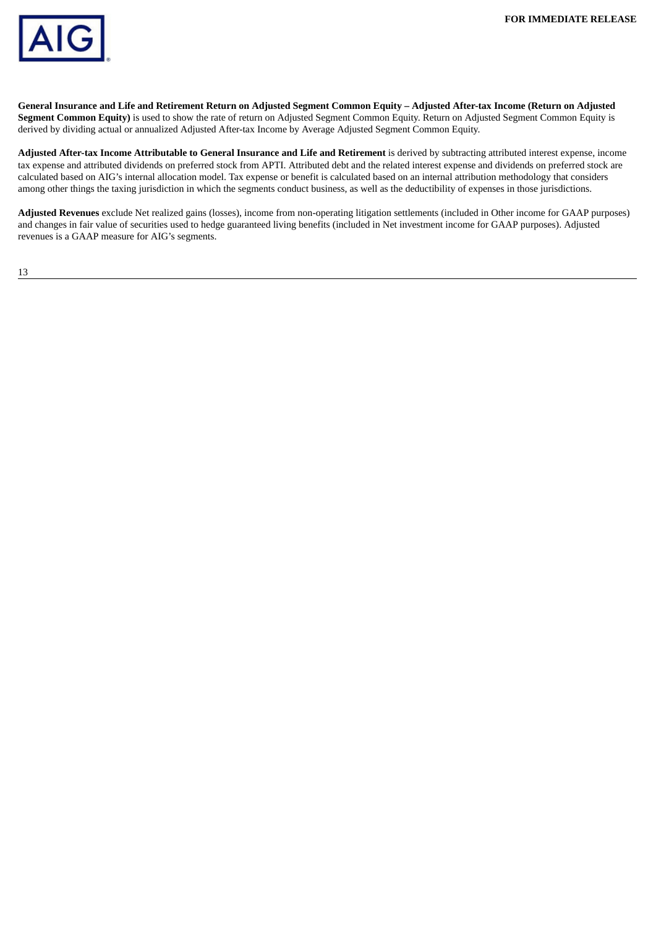

General Insurance and Life and Retirement Return on Adjusted Segment Common Equity - Adjusted After-tax Income (Return on Adjusted **Segment Common Equity)** is used to show the rate of return on Adjusted Segment Common Equity. Return on Adjusted Segment Common Equity is derived by dividing actual or annualized Adjusted After-tax Income by Average Adjusted Segment Common Equity.

**Adjusted After-tax Income Attributable to General Insurance and Life and Retirement** is derived by subtracting attributed interest expense, income tax expense and attributed dividends on preferred stock from APTI. Attributed debt and the related interest expense and dividends on preferred stock are calculated based on AIG's internal allocation model. Tax expense or benefit is calculated based on an internal attribution methodology that considers among other things the taxing jurisdiction in which the segments conduct business, as well as the deductibility of expenses in those jurisdictions.

**Adjusted Revenues** exclude Net realized gains (losses), income from non-operating litigation settlements (included in Other income for GAAP purposes) and changes in fair value of securities used to hedge guaranteed living benefits (included in Net investment income for GAAP purposes). Adjusted revenues is a GAAP measure for AIG's segments.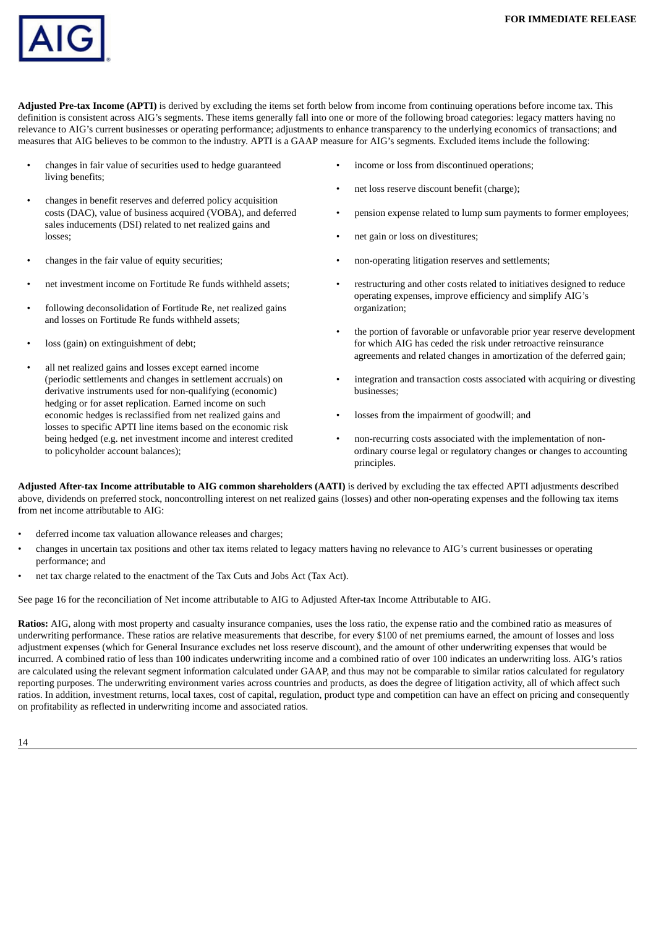

**Adjusted Pre-tax Income (APTI)** is derived by excluding the items set forth below from income from continuing operations before income tax. This definition is consistent across AIG's segments. These items generally fall into one or more of the following broad categories: legacy matters having no relevance to AIG's current businesses or operating performance; adjustments to enhance transparency to the underlying economics of transactions; and measures that AIG believes to be common to the industry. APTI is a GAAP measure for AIG's segments. Excluded items include the following:

- changes in fair value of securities used to hedge guaranteed living benefits;
- changes in benefit reserves and deferred policy acquisition costs (DAC), value of business acquired (VOBA), and deferred sales inducements (DSI) related to net realized gains and losses;
- changes in the fair value of equity securities;
- net investment income on Fortitude Re funds withheld assets;
- following deconsolidation of Fortitude Re, net realized gains and losses on Fortitude Re funds withheld assets;
- loss (gain) on extinguishment of debt;
- all net realized gains and losses except earned income (periodic settlements and changes in settlement accruals) on derivative instruments used for non-qualifying (economic) hedging or for asset replication. Earned income on such economic hedges is reclassified from net realized gains and losses to specific APTI line items based on the economic risk being hedged (e.g. net investment income and interest credited to policyholder account balances);
- income or loss from discontinued operations;
- net loss reserve discount benefit (charge);
- pension expense related to lump sum payments to former employees;
- net gain or loss on divestitures;
- non-operating litigation reserves and settlements;
- restructuring and other costs related to initiatives designed to reduce operating expenses, improve efficiency and simplify AIG's organization;
- the portion of favorable or unfavorable prior year reserve development for which AIG has ceded the risk under retroactive reinsurance agreements and related changes in amortization of the deferred gain;
- integration and transaction costs associated with acquiring or divesting businesses;
- losses from the impairment of goodwill; and
- non-recurring costs associated with the implementation of nonordinary course legal or regulatory changes or changes to accounting principles.

**Adjusted After-tax Income attributable to AIG common shareholders (AATI)** is derived by excluding the tax effected APTI adjustments described above, dividends on preferred stock, noncontrolling interest on net realized gains (losses) and other non-operating expenses and the following tax items from net income attributable to AIG:

- deferred income tax valuation allowance releases and charges;
- changes in uncertain tax positions and other tax items related to legacy matters having no relevance to AIG's current businesses or operating performance; and
- net tax charge related to the enactment of the Tax Cuts and Jobs Act (Tax Act).

See page 16 for the reconciliation of Net income attributable to AIG to Adjusted After-tax Income Attributable to AIG.

**Ratios:** AIG, along with most property and casualty insurance companies, uses the loss ratio, the expense ratio and the combined ratio as measures of underwriting performance. These ratios are relative measurements that describe, for every \$100 of net premiums earned, the amount of losses and loss adjustment expenses (which for General Insurance excludes net loss reserve discount), and the amount of other underwriting expenses that would be incurred. A combined ratio of less than 100 indicates underwriting income and a combined ratio of over 100 indicates an underwriting loss. AIG's ratios are calculated using the relevant segment information calculated under GAAP, and thus may not be comparable to similar ratios calculated for regulatory reporting purposes. The underwriting environment varies across countries and products, as does the degree of litigation activity, all of which affect such ratios. In addition, investment returns, local taxes, cost of capital, regulation, product type and competition can have an effect on pricing and consequently on profitability as reflected in underwriting income and associated ratios.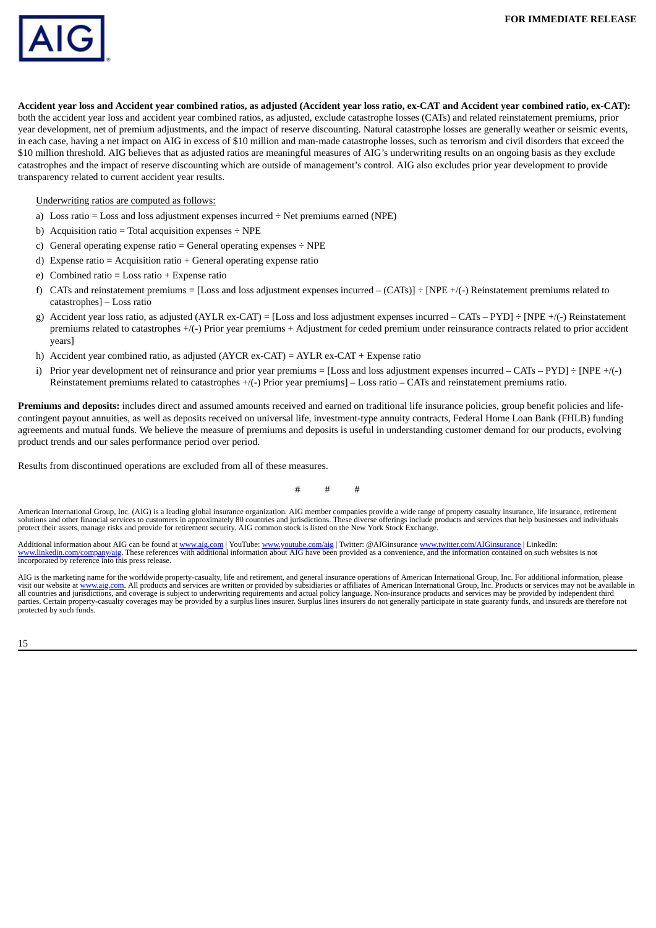

Accident year loss and Accident year combined ratios, as adjusted (Accident year loss ratio, ex-CAT and Accident year combined ratio, ex-CAT): both the accident year loss and accident year combined ratios, as adjusted, exclude catastrophe losses (CATs) and related reinstatement premiums, prior year development, net of premium adjustments, and the impact of reserve discounting. Natural catastrophe losses are generally weather or seismic events, in each case, having a net impact on AIG in excess of \$10 million and man-made catastrophe losses, such as terrorism and civil disorders that exceed the \$10 million threshold. AIG believes that as adjusted ratios are meaningful measures of AIG's underwriting results on an ongoing basis as they exclude catastrophes and the impact of reserve discounting which are outside of management's control. AIG also excludes prior year development to provide transparency related to current accident year results.

Underwriting ratios are computed as follows:

- a) Loss ratio = Loss and loss adjustment expenses incurred  $\div$  Net premiums earned (NPE)
- b) Acquisition ratio = Total acquisition expenses  $\div$  NPE
- c) General operating expense ratio = General operating expenses  $\div$  NPE
- d) Expense ratio = Acquisition ratio + General operating expense ratio
- e) Combined ratio = Loss ratio + Expense ratio
- f) CATs and reinstatement premiums = [Loss and loss adjustment expenses incurred (CATs)]  $\div$  [NPE +/(-) Reinstatement premiums related to catastrophes] – Loss ratio
- g) Accident year loss ratio, as adjusted (AYLR ex-CAT) = [Loss and loss adjustment expenses incurred CATs PYD] ÷ [NPE +/(-) Reinstatement premiums related to catastrophes +/(-) Prior year premiums + Adjustment for ceded premium under reinsurance contracts related to prior accident years]
- h) Accident year combined ratio, as adjusted (AYCR ex-CAT) = AYLR ex-CAT + Expense ratio
- i) Prior year development net of reinsurance and prior year premiums = [Loss and loss adjustment expenses incurred CATs PYD] ÷ [NPE +/(-) Reinstatement premiums related to catastrophes +/(-) Prior year premiums] – Loss ratio – CATs and reinstatement premiums ratio.

**Premiums and deposits:** includes direct and assumed amounts received and earned on traditional life insurance policies, group benefit policies and lifecontingent payout annuities, as well as deposits received on universal life, investment-type annuity contracts, Federal Home Loan Bank (FHLB) funding agreements and mutual funds. We believe the measure of premiums and deposits is useful in understanding customer demand for our products, evolving product trends and our sales performance period over period.

Results from discontinued operations are excluded from all of these measures.

# # #

American International Group, Inc. (AIG) is a leading global insurance organization. AIG member companies provide a wide range of property casualty insurance, life insurance, ertirement<br>solutions and other financial servic protect their assets, manage risks and provide for retirement security. AIG common stock is listed on the New York Stock Exchange.

Additional information about AIG can be found at www.aig.com | YouTube: www.youtube.com/aig | Twitter: @AIGinsurance www.twitter.com/AIGinsurance | LinkedIn: company/aig. These references with additional information about AIG have been provided as a convenience, and the information contained on such websites is not **WWW.IIIINEQUII.COMPLOMPROVIALS.** THESE TELECTRICITY incorporated by reference into this press release.

AIG is the marketing name for the worldwide property-casualty, life and retirement, and general insurance operations of American International Group, Inc. For additional information, please visit our website at www.aig.com. All products and services are written or provided by subsidiaries or affiliates of American International Group, Inc. Products or services may not be available in all countries and jurisdictions, and coverage is subject to underwriting requirements and actual policy language. Non-insurance products and services may be provided by independent third<br>parties. Certain property-casualty protected by such funds.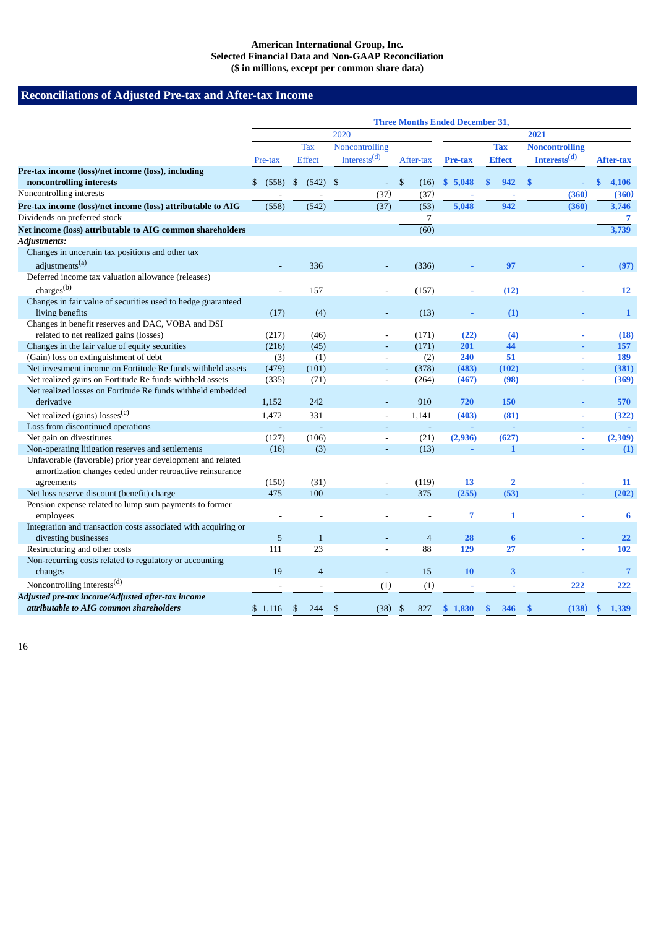## **Reconciliations of Adjusted Pre-tax and After-tax Income**

|                                                                |             |               |                |                   |                   | <b>Three Months Ended December 31,</b> |              |                |                          |    |                  |  |
|----------------------------------------------------------------|-------------|---------------|----------------|-------------------|-------------------|----------------------------------------|--------------|----------------|--------------------------|----|------------------|--|
|                                                                |             |               |                | 2020              |                   | 2021                                   |              |                |                          |    |                  |  |
|                                                                |             | <b>Tax</b>    |                | Noncontrolling    |                   |                                        | <b>Tax</b>   |                | <b>Noncontrolling</b>    |    |                  |  |
|                                                                | Pre-tax     | <b>Effect</b> |                | Interests $(d)$   | After-tax         | <b>Pre-tax</b>                         |              | <b>Effect</b>  | Interests <sup>(d)</sup> |    | <b>After-tax</b> |  |
| Pre-tax income (loss)/net income (loss), including             |             |               |                |                   |                   |                                        |              |                |                          |    |                  |  |
| noncontrolling interests                                       | (558)<br>\$ | \$            | (542)          | -\$               | \$<br>(16)        | \$5,048                                | $\mathbf{s}$ | 942            | $\mathbf{\$}$            | \$ | 4,106            |  |
| Noncontrolling interests                                       |             |               |                | (37)              | (37)              |                                        |              |                | (360)                    |    | (360)            |  |
| Pre-tax income (loss)/net income (loss) attributable to AIG    | (558)       |               | (542)          | $\overline{(37)}$ | $\overline{(53)}$ | 5,048                                  |              | 942            | (360)                    |    | 3,746            |  |
| Dividends on preferred stock                                   |             |               |                |                   | 7                 |                                        |              |                |                          |    | 7                |  |
| Net income (loss) attributable to AIG common shareholders      |             |               |                |                   | (60)              |                                        |              |                |                          |    | 3.739            |  |
| Adjustments:                                                   |             |               |                |                   |                   |                                        |              |                |                          |    |                  |  |
| Changes in uncertain tax positions and other tax               |             |               |                |                   |                   |                                        |              |                |                          |    |                  |  |
| adjustments <sup>(a)</sup>                                     |             |               | 336            |                   | (336)             |                                        |              | 97             |                          |    | (97)             |  |
| Deferred income tax valuation allowance (releases)             |             |               |                |                   |                   |                                        |              |                |                          |    |                  |  |
| charges <sup>(b)</sup>                                         |             |               | 157            |                   | (157)             |                                        |              | (12)           |                          |    | 12               |  |
| Changes in fair value of securities used to hedge guaranteed   |             |               |                |                   |                   |                                        |              |                |                          |    |                  |  |
| living benefits                                                | (17)        |               | (4)            |                   | (13)              |                                        |              | (1)            |                          |    | $\mathbf{1}$     |  |
| Changes in benefit reserves and DAC, VOBA and DSI              |             |               |                |                   |                   |                                        |              |                |                          |    |                  |  |
| related to net realized gains (losses)                         | (217)       |               | (46)           |                   | (171)             | (22)                                   |              | (4)            |                          |    | (18)             |  |
| Changes in the fair value of equity securities                 | (216)       |               | (45)           |                   | (171)             | 201                                    |              | 44             |                          |    | 157              |  |
| (Gain) loss on extinguishment of debt                          | (3)         |               | (1)            | L,                | (2)               | 240                                    |              | 51             |                          |    | 189              |  |
| Net investment income on Fortitude Re funds withheld assets    | (479)       |               | (101)          |                   | (378)             | (483)                                  |              | (102)          |                          |    | (381)            |  |
| Net realized gains on Fortitude Re funds withheld assets       | (335)       |               | (71)           | $\blacksquare$    | (264)             | (467)                                  |              | (98)           |                          |    | (369)            |  |
| Net realized losses on Fortitude Re funds withheld embedded    |             |               |                |                   |                   |                                        |              |                |                          |    |                  |  |
| derivative                                                     | 1,152       |               | 242            |                   | 910               | 720                                    |              | 150            |                          |    | 570              |  |
| Net realized (gains) losses <sup>(c)</sup>                     | 1,472       |               | 331            |                   | 1,141             | (403)                                  |              | (81)           |                          |    | (322)            |  |
| Loss from discontinued operations                              |             |               |                |                   | $\omega$          | u,                                     |              | ÷              |                          |    |                  |  |
| Net gain on divestitures                                       | (127)       |               | (106)          |                   | (21)              | (2, 936)                               |              | (627)          |                          |    | (2,309)          |  |
| Non-operating litigation reserves and settlements              | (16)        |               | (3)            |                   | (13)              |                                        |              | $\mathbf{1}$   |                          |    | (1)              |  |
| Unfavorable (favorable) prior year development and related     |             |               |                |                   |                   |                                        |              |                |                          |    |                  |  |
| amortization changes ceded under retroactive reinsurance       |             |               |                |                   |                   |                                        |              |                |                          |    |                  |  |
| agreements                                                     | (150)       |               | (31)           |                   | (119)             | 13                                     |              | $\overline{2}$ |                          |    | 11               |  |
| Net loss reserve discount (benefit) charge                     | 475         |               | 100            |                   | 375               | (255)                                  |              | (53)           |                          |    | (202)            |  |
| Pension expense related to lump sum payments to former         |             |               |                |                   |                   |                                        |              |                |                          |    |                  |  |
| employees                                                      |             |               |                |                   |                   | 7                                      |              | 1              |                          |    | 6                |  |
| Integration and transaction costs associated with acquiring or |             |               |                |                   |                   |                                        |              |                |                          |    |                  |  |
| divesting businesses                                           | 5           |               | $\mathbf{1}$   |                   | $\overline{4}$    | 28                                     |              | 6              |                          |    | 22               |  |
| Restructuring and other costs                                  | 111         |               | 23             |                   | 88                | 129                                    |              | 27             |                          |    | 102              |  |
| Non-recurring costs related to regulatory or accounting        |             |               |                |                   |                   |                                        |              |                |                          |    |                  |  |
| changes                                                        | 19          |               | $\overline{4}$ |                   | 15                | 10                                     |              | 3              |                          |    | $\overline{7}$   |  |
| Noncontrolling interests <sup>(d)</sup>                        |             |               |                | (1)               | (1)               |                                        |              |                | 222                      |    | 222              |  |
| Adjusted pre-tax income/Adjusted after-tax income              |             |               |                |                   |                   |                                        |              |                |                          |    |                  |  |
| attributable to AIG common shareholders                        | \$1,116     | \$            | 244            | \$<br>(38)        | \$<br>827         | \$1,830                                | \$.          | 346            | \$<br>(138)              | S. | 1,339            |  |
|                                                                |             |               |                |                   |                   |                                        |              |                |                          |    |                  |  |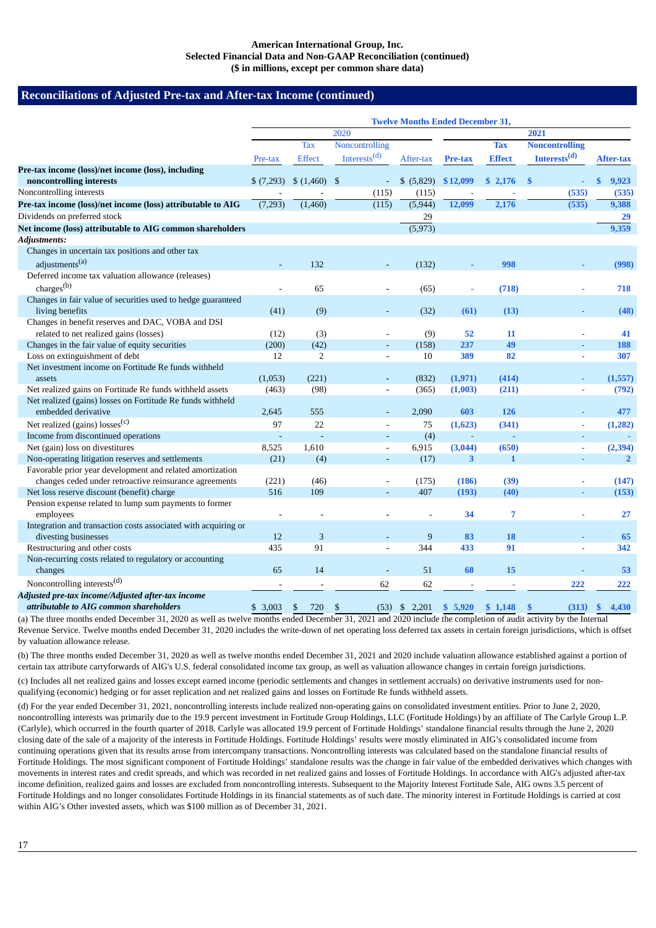## **Reconciliations of Adjusted Pre-tax and After-tax Income (continued)**

|                                                                |           |               |                          | <b>Twelve Months Ended December 31,</b> |          |               |                          |                       |
|----------------------------------------------------------------|-----------|---------------|--------------------------|-----------------------------------------|----------|---------------|--------------------------|-----------------------|
|                                                                |           |               | 2020                     |                                         |          |               | 2021                     |                       |
|                                                                |           | <b>Tax</b>    | Noncontrolling           |                                         |          | <b>Tax</b>    | <b>Noncontrolling</b>    |                       |
|                                                                | Pre-tax   | <b>Effect</b> | Interests <sup>(d)</sup> | After-tax                               | Pre-tax  | <b>Effect</b> | Interests <sup>(d)</sup> | <b>After-tax</b>      |
| Pre-tax income (loss)/net income (loss), including             |           |               |                          |                                         |          |               |                          |                       |
| noncontrolling interests                                       | \$(7,293) | \$(1,460)     | $\mathbf{s}$             | \$ (5,829)                              | \$12,099 | \$2,176       | $\mathbf{\$}$            | $\mathbf{s}$<br>9,923 |
| Noncontrolling interests                                       |           |               | (115)                    | (115)                                   |          |               | (535)                    | (535)                 |
| Pre-tax income (loss)/net income (loss) attributable to AIG    | (7,293)   | (1,460)       | (115)                    | (5,944)                                 | 12,099   | 2,176         | (535)                    | 9,388                 |
| Dividends on preferred stock                                   |           |               |                          | 29                                      |          |               |                          | 29                    |
| Net income (loss) attributable to AIG common shareholders      |           |               |                          | (5, 973)                                |          |               |                          | 9,359                 |
| Adjustments:                                                   |           |               |                          |                                         |          |               |                          |                       |
| Changes in uncertain tax positions and other tax               |           |               |                          |                                         |          |               |                          |                       |
| adjustments <sup>(a)</sup>                                     |           | 132           |                          | (132)                                   |          | 998           |                          | (998)                 |
| Deferred income tax valuation allowance (releases)             |           |               |                          |                                         |          |               |                          |                       |
| charges <sup>(b)</sup>                                         |           | 65            |                          | (65)                                    |          |               |                          | 718                   |
| Changes in fair value of securities used to hedge guaranteed   |           |               |                          |                                         |          | (718)         |                          |                       |
| living benefits                                                | (41)      | (9)           |                          | (32)                                    | (61)     | (13)          |                          | (48)                  |
| Changes in benefit reserves and DAC, VOBA and DSI              |           |               |                          |                                         |          |               |                          |                       |
| related to net realized gains (losses)                         | (12)      | (3)           |                          | (9)                                     | 52       | 11            |                          | 41                    |
| Changes in the fair value of equity securities                 | (200)     | (42)          |                          | (158)                                   | 237      | 49            |                          | 188                   |
| Loss on extinguishment of debt                                 | 12        | 2             |                          | 10                                      | 389      | 82            |                          | 307                   |
| Net investment income on Fortitude Re funds withheld           |           |               |                          |                                         |          |               |                          |                       |
| assets                                                         | (1,053)   | (221)         |                          | (832)                                   | (1,971)  | (414)         |                          | (1,557)               |
| Net realized gains on Fortitude Re funds withheld assets       | (463)     | (98)          |                          | (365)                                   | (1,003)  | (211)         |                          | (792)                 |
| Net realized (gains) losses on Fortitude Re funds withheld     |           |               |                          |                                         |          |               |                          |                       |
| embedded derivative                                            | 2,645     | 555           |                          | 2,090                                   | 603      | 126           |                          | 477                   |
| Net realized (gains) losses <sup>(c)</sup>                     | 97        | 22            |                          | 75                                      | (1,623)  | (341)         |                          | (1, 282)              |
| Income from discontinued operations                            |           | $\omega$      |                          | (4)                                     | u,       | ÷.            |                          |                       |
| Net (gain) loss on divestitures                                | 8,525     | 1,610         |                          | 6,915                                   | (3,044)  | (650)         | ä,                       | (2, 394)              |
| Non-operating litigation reserves and settlements              | (21)      | (4)           |                          | (17)                                    | 3        | $\mathbf{1}$  |                          | $\overline{2}$        |
| Favorable prior year development and related amortization      |           |               |                          |                                         |          |               |                          |                       |
| changes ceded under retroactive reinsurance agreements         | (221)     | (46)          |                          | (175)                                   | (186)    | (39)          |                          | (147)                 |
| Net loss reserve discount (benefit) charge                     | 516       | 109           |                          | 407                                     | (193)    | (40)          |                          | (153)                 |
| Pension expense related to lump sum payments to former         |           |               |                          |                                         |          |               |                          |                       |
| employees                                                      |           |               |                          |                                         | 34       | 7             |                          | 27                    |
| Integration and transaction costs associated with acquiring or |           |               |                          |                                         |          |               |                          |                       |
| divesting businesses                                           | 12        | 3             |                          | 9                                       | 83       | <b>18</b>     |                          | 65                    |
| Restructuring and other costs                                  | 435       | 91            |                          | 344                                     | 433      | 91            |                          | 342                   |
| Non-recurring costs related to regulatory or accounting        |           |               |                          |                                         |          |               |                          |                       |
| changes                                                        | 65        | 14            |                          | 51                                      | 68       | 15            |                          | 53                    |
| Noncontrolling interests <sup>(d)</sup>                        |           |               | 62                       | 62                                      |          |               | 222                      | 222                   |
| Adjusted pre-tax income/Adjusted after-tax income              |           |               |                          |                                         |          |               |                          |                       |
| attributable to AIG common shareholders                        | \$3.003   | \$<br>720     | $\mathbb{S}$<br>(53)     | $\sqrt{2}$<br>2,201                     | \$5,920  | \$<br>1.148   | $\mathbf{s}$<br>(313)    | 4.430<br>\$           |

(a) The three months ended December 31, 2020 as well as twelve months ended December 31, 2021 and 2020 include the completion of audit activity by the Internal Revenue Service. Twelve months ended December 31, 2020 includes the write-down of net operating loss deferred tax assets in certain foreign jurisdictions, which is offset by valuation allowance release.

(b) The three months ended December 31, 2020 as well as twelve months ended December 31, 2021 and 2020 include valuation allowance established against a portion of certain tax attribute carryforwards of AIG's U.S. federal consolidated income tax group, as well as valuation allowance changes in certain foreign jurisdictions.

(c) Includes all net realized gains and losses except earned income (periodic settlements and changes in settlement accruals) on derivative instruments used for nonqualifying (economic) hedging or for asset replication and net realized gains and losses on Fortitude Re funds withheld assets.

(d) For the year ended December 31, 2021, noncontrolling interests include realized non-operating gains on consolidated investment entities. Prior to June 2, 2020, noncontrolling interests was primarily due to the 19.9 percent investment in Fortitude Group Holdings, LLC (Fortitude Holdings) by an affiliate of The Carlyle Group L.P. (Carlyle), which occurred in the fourth quarter of 2018. Carlyle was allocated 19.9 percent of Fortitude Holdings' standalone financial results through the June 2, 2020 closing date of the sale of a majority of the interests in Fortitude Holdings. Fortitude Holdings' results were mostly eliminated in AIG's consolidated income from continuing operations given that its results arose from intercompany transactions. Noncontrolling interests was calculated based on the standalone financial results of Fortitude Holdings. The most significant component of Fortitude Holdings' standalone results was the change in fair value of the embedded derivatives which changes with movements in interest rates and credit spreads, and which was recorded in net realized gains and losses of Fortitude Holdings. In accordance with AIG's adjusted after-tax income definition, realized gains and losses are excluded from noncontrolling interests. Subsequent to the Majority Interest Fortitude Sale, AIG owns 3.5 percent of Fortitude Holdings and no longer consolidates Fortitude Holdings in its financial statements as of such date. The minority interest in Fortitude Holdings is carried at cost within AIG's Other invested assets, which was \$100 million as of December 31, 2021.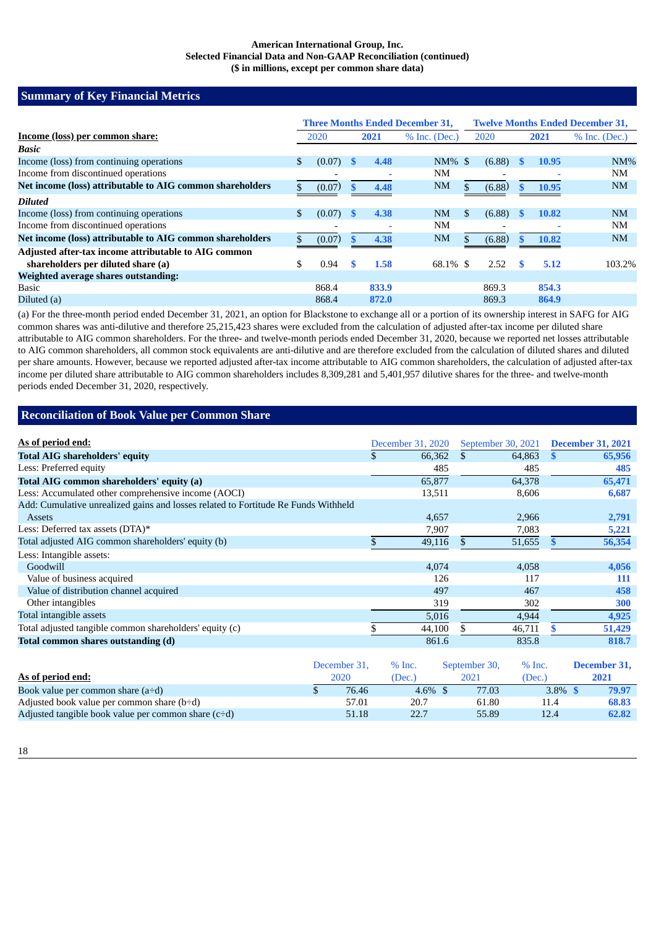## **Summary of Key Financial Metrics**

|              |      |       |                 |                                        | <b>Twelve Months Ended December 31,</b> |          |       |                 |  |  |
|--------------|------|-------|-----------------|----------------------------------------|-----------------------------------------|----------|-------|-----------------|--|--|
|              |      |       | $%$ Inc. (Dec.) |                                        |                                         |          | 2021  | $%$ Inc. (Dec.) |  |  |
|              |      |       |                 |                                        |                                         |          |       |                 |  |  |
| \$<br>(0.07) |      | 4.48  |                 |                                        | (6.88)                                  | -8       | 10.95 | $NM\%$          |  |  |
|              |      |       | NΜ              |                                        |                                         |          |       | NM              |  |  |
| \$<br>(0.07) |      | 4.48  | <b>NM</b>       | \$.                                    | (6.88)                                  |          | 10.95 | NM              |  |  |
|              |      |       |                 |                                        |                                         |          |       |                 |  |  |
| \$<br>(0.07) | -S   | 4.38  | <b>NM</b>       | \$                                     | (6.88)                                  | -8       | 10.82 | <b>NM</b>       |  |  |
|              |      |       | NΜ              |                                        | $\overline{\phantom{0}}$                |          |       | NM              |  |  |
| (0.07)       |      | 4.38  | <b>NM</b>       | \$                                     | (6.88)                                  |          | 10.82 | <b>NM</b>       |  |  |
|              |      |       |                 |                                        |                                         |          |       |                 |  |  |
| \$<br>0.94   |      | 1.58  |                 |                                        | 2.52                                    | <b>S</b> | 5.12  | 103.2%          |  |  |
|              |      |       |                 |                                        |                                         |          |       |                 |  |  |
| 868.4        |      | 833.9 |                 |                                        | 869.3                                   |          | 854.3 |                 |  |  |
| 868.4        |      | 872.0 |                 |                                        | 869.3                                   |          | 864.9 |                 |  |  |
|              | 2020 |       | 2021            | <b>Three Months Ended December 31,</b> | $NM\%$ \$<br>68.1% \$                   | 2020     |       |                 |  |  |

(a) For the three-month period ended December 31, 2021, an option for Blackstone to exchange all or a portion of its ownership interest in SAFG for AIG common shares was anti-dilutive and therefore 25,215,423 shares were excluded from the calculation of adjusted after-tax income per diluted share attributable to AIG common shareholders. For the three- and twelve-month periods ended December 31, 2020, because we reported net losses attributable to AIG common shareholders, all common stock equivalents are anti-dilutive and are therefore excluded from the calculation of diluted shares and diluted per share amounts. However, because we reported adjusted after-tax income attributable to AIG common shareholders, the calculation of adjusted after-tax income per diluted share attributable to AIG common shareholders includes 8,309,281 and 5,401,957 dilutive shares for the three- and twelve-month periods ended December 31, 2020, respectively.

## **Reconciliation of Book Value per Common Share**

| As of period end:                                                                  | December 31, 2020 | September 30, 2021 |   | <b>December 31, 2021</b> |
|------------------------------------------------------------------------------------|-------------------|--------------------|---|--------------------------|
| <b>Total AIG shareholders' equity</b>                                              | 66,362            | 64,863             | S | 65,956                   |
| Less: Preferred equity                                                             | 485               | 485                |   | 485                      |
| Total AIG common shareholders' equity (a)                                          | 65,877            | 64,378             |   | 65,471                   |
| Less: Accumulated other comprehensive income (AOCI)                                | 13,511            | 8,606              |   | 6,687                    |
| Add: Cumulative unrealized gains and losses related to Fortitude Re Funds Withheld |                   |                    |   |                          |
| <b>Assets</b>                                                                      | 4,657             | 2,966              |   | 2,791                    |
| Less: Deferred tax assets (DTA)*                                                   | 7,907             | 7,083              |   | 5,221                    |
| Total adjusted AIG common shareholders' equity (b)                                 | 49,116            | 51,655             |   | 56,354                   |
| Less: Intangible assets:                                                           |                   |                    |   |                          |
| Goodwill                                                                           | 4,074             | 4,058              |   | 4,056                    |
| Value of business acquired                                                         | 126               | 117                |   | 111                      |
| Value of distribution channel acquired                                             | 497               | 467                |   | 458                      |
| Other intangibles                                                                  | 319               | 302                |   | 300                      |
| Total intangible assets                                                            | 5,016             | 4,944              |   | 4,925                    |
| Total adjusted tangible common shareholders' equity (c)                            | 44,100            | 46,711             |   | 51,429                   |
| Total common shares outstanding (d)                                                | 861.6             | 835.8              |   | 818.7                    |

|       | $%$ Inc.             | September 30, | $%$ Inc | December 31, |
|-------|----------------------|---------------|---------|--------------|
|       | (Dec.)               | 2021          | (Dec.)  | 2021         |
| 76.46 |                      | 77.03         |         | 79.97        |
| 57.01 | 20.7                 | 61.80         | 11.4    | 68.83        |
| 51.18 | 22.7                 | 55.89         | 12.4    | 62.82        |
|       | December 31.<br>2020 |               | $4.6\%$ | $3.8\%$ \$   |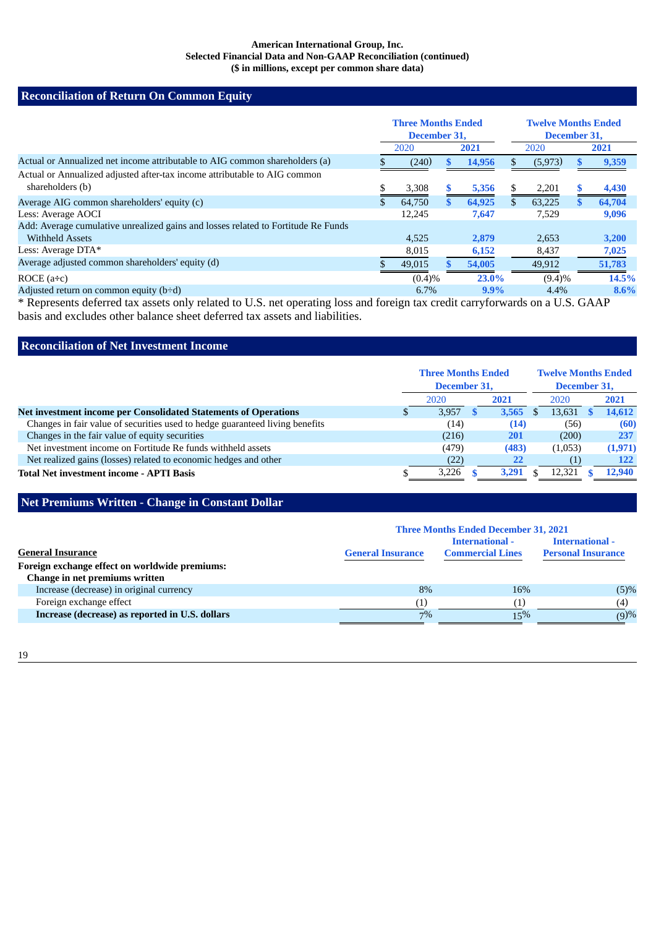## **Reconciliation of Return On Common Equity**

|                                                                                               | <b>Three Months Ended</b><br>December 31. |  |         | <b>Twelve Months Ended</b><br>December 31. |           |    |         |
|-----------------------------------------------------------------------------------------------|-------------------------------------------|--|---------|--------------------------------------------|-----------|----|---------|
|                                                                                               | 2021<br>2020                              |  |         |                                            | 2020      |    | 2021    |
| Actual or Annualized net income attributable to AIG common shareholders (a)                   | (240)                                     |  | 14,956  | S.                                         | (5, 973)  | S. | 9,359   |
| Actual or Annualized adjusted after-tax income attributable to AIG common<br>shareholders (b) | 3,308                                     |  | 5,356   | \$.                                        | 2,201     |    | 4,430   |
| Average AIG common shareholders' equity (c)                                                   | 64,750                                    |  | 64,925  | \$.                                        | 63,225    |    | 64,704  |
| Less: Average AOCI                                                                            | 12,245                                    |  | 7,647   |                                            | 7,529     |    | 9,096   |
| Add: Average cumulative unrealized gains and losses related to Fortitude Re Funds             |                                           |  |         |                                            |           |    |         |
| <b>Withheld Assets</b>                                                                        | 4,525                                     |  | 2.879   |                                            | 2,653     |    | 3,200   |
| Less: Average DTA*                                                                            | 8,015                                     |  | 6,152   |                                            | 8,437     |    | 7,025   |
| Average adjusted common shareholders' equity (d)                                              | 49,015                                    |  | 54,005  |                                            | 49.912    |    | 51,783  |
| ROCE $(a \div c)$                                                                             | (0.4)%                                    |  | 23.0%   |                                            | $(9.4)\%$ |    | 14.5%   |
| Adjusted return on common equity $(b \div d)$                                                 | 6.7%                                      |  | $9.9\%$ |                                            | $4.4\%$   |    | $8.6\%$ |

\* Represents deferred tax assets only related to U.S. net operating loss and foreign tax credit carryforwards on a U.S. GAAP basis and excludes other balance sheet deferred tax assets and liabilities.

## **Reconciliation of Net Investment Income**

|                                                                              | <b>Three Months Ended</b><br>December 31, |  |            |  | <b>Twelve Months Ended</b><br>December 31, |  |         |  |
|------------------------------------------------------------------------------|-------------------------------------------|--|------------|--|--------------------------------------------|--|---------|--|
|                                                                              | 2020                                      |  | 2021       |  | 2020                                       |  | 2021    |  |
| Net investment income per Consolidated Statements of Operations              | 3.957                                     |  | 3.565      |  | 13,631                                     |  | 14,612  |  |
| Changes in fair value of securities used to hedge guaranteed living benefits | (14)                                      |  | (14)       |  | (56)                                       |  | (60)    |  |
| Changes in the fair value of equity securities                               | (216)                                     |  | <b>201</b> |  | (200)                                      |  | 237     |  |
| Net investment income on Fortitude Re funds withheld assets                  | (479)                                     |  | (483)      |  | (1,053)                                    |  | (1,971) |  |
| Net realized gains (losses) related to economic hedges and other             | (22)                                      |  | 22         |  | (1)                                        |  | 122     |  |
| <b>Total Net investment income - APTI Basis</b>                              | 3.226                                     |  | 3.291      |  | 12.321                                     |  | 12,940  |  |

## **Net Premiums Written - Change in Constant Dollar**

|                                                                                  | <b>Three Months Ended December 31, 2021</b> |                                                                                |      |  |  |  |  |
|----------------------------------------------------------------------------------|---------------------------------------------|--------------------------------------------------------------------------------|------|--|--|--|--|
| <b>General Insurance</b>                                                         | <b>General Insurance</b>                    | <b>International</b> -<br><b>Personal Insurance</b><br><b>Commercial Lines</b> |      |  |  |  |  |
| Foreign exchange effect on worldwide premiums:<br>Change in net premiums written |                                             |                                                                                |      |  |  |  |  |
| Increase (decrease) in original currency                                         | 8%                                          | 16%                                                                            | (5)% |  |  |  |  |
| Foreign exchange effect                                                          | (1)                                         | [1]                                                                            | (4)  |  |  |  |  |
| Increase (decrease) as reported in U.S. dollars                                  | $7\%$                                       | 15%                                                                            | (9)% |  |  |  |  |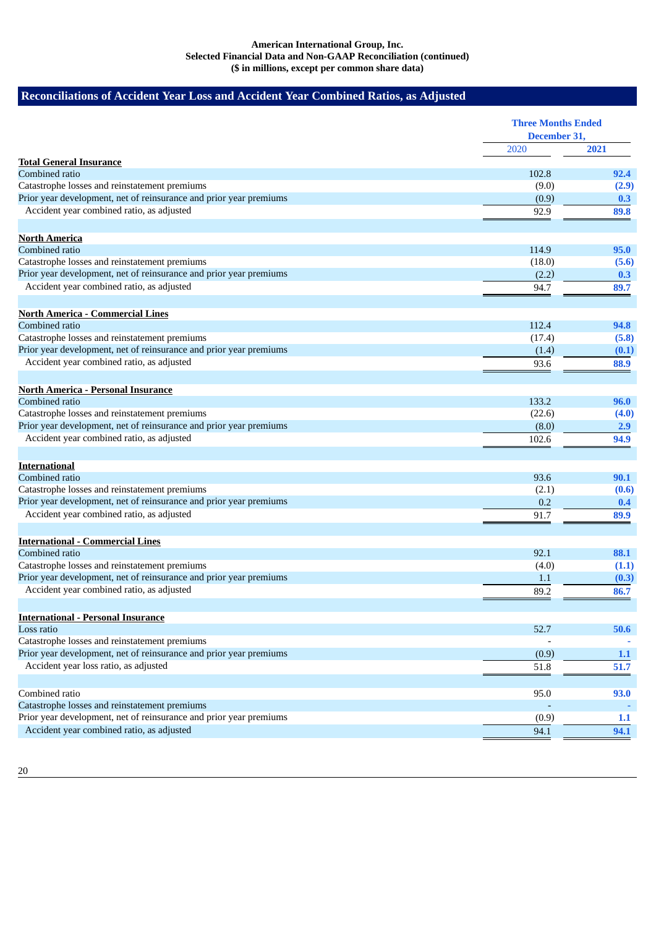## **Reconciliations of Accident Year Loss and Accident Year Combined Ratios, as Adjusted**

|                                                                    |        | <b>Three Months Ended</b><br>December 31, |  |  |  |  |  |
|--------------------------------------------------------------------|--------|-------------------------------------------|--|--|--|--|--|
|                                                                    | 2020   | 2021                                      |  |  |  |  |  |
| <b>Total General Insurance</b>                                     |        |                                           |  |  |  |  |  |
| Combined ratio                                                     | 102.8  | 92.4                                      |  |  |  |  |  |
| Catastrophe losses and reinstatement premiums                      | (9.0)  | (2.9)                                     |  |  |  |  |  |
| Prior year development, net of reinsurance and prior year premiums | (0.9)  | 0.3                                       |  |  |  |  |  |
| Accident year combined ratio, as adjusted                          | 92.9   | 89.8                                      |  |  |  |  |  |
| <b>North America</b>                                               |        |                                           |  |  |  |  |  |
| Combined ratio                                                     | 114.9  | 95.0                                      |  |  |  |  |  |
| Catastrophe losses and reinstatement premiums                      | (18.0) | (5.6)                                     |  |  |  |  |  |
| Prior year development, net of reinsurance and prior year premiums | (2.2)  | 0.3                                       |  |  |  |  |  |
| Accident year combined ratio, as adjusted                          | 94.7   | 89.7                                      |  |  |  |  |  |
| <b>North America - Commercial Lines</b>                            |        |                                           |  |  |  |  |  |
| Combined ratio                                                     | 112.4  | 94.8                                      |  |  |  |  |  |
| Catastrophe losses and reinstatement premiums                      | (17.4) | (5.8)                                     |  |  |  |  |  |
| Prior year development, net of reinsurance and prior year premiums | (1.4)  | (0.1)                                     |  |  |  |  |  |
| Accident year combined ratio, as adjusted                          | 93.6   | 88.9                                      |  |  |  |  |  |
| <b>North America - Personal Insurance</b>                          |        |                                           |  |  |  |  |  |
| Combined ratio                                                     | 133.2  | 96.0                                      |  |  |  |  |  |
| Catastrophe losses and reinstatement premiums                      | (22.6) | (4.0)                                     |  |  |  |  |  |
| Prior year development, net of reinsurance and prior year premiums | (8.0)  | 2.9                                       |  |  |  |  |  |
| Accident year combined ratio, as adjusted                          | 102.6  | 94.9                                      |  |  |  |  |  |
| <b>International</b>                                               |        |                                           |  |  |  |  |  |
| Combined ratio                                                     | 93.6   | 90.1                                      |  |  |  |  |  |
| Catastrophe losses and reinstatement premiums                      | (2.1)  | (0.6)                                     |  |  |  |  |  |
| Prior year development, net of reinsurance and prior year premiums | 0.2    | 0.4                                       |  |  |  |  |  |
| Accident year combined ratio, as adjusted                          | 91.7   | 89.9                                      |  |  |  |  |  |
| <b>International - Commercial Lines</b>                            |        |                                           |  |  |  |  |  |
| Combined ratio                                                     | 92.1   | 88.1                                      |  |  |  |  |  |
| Catastrophe losses and reinstatement premiums                      | (4.0)  | (1.1)                                     |  |  |  |  |  |
| Prior year development, net of reinsurance and prior year premiums | 1.1    | (0.3)                                     |  |  |  |  |  |
| Accident year combined ratio, as adjusted                          | 89.2   | 86.7                                      |  |  |  |  |  |
| <b>International - Personal Insurance</b>                          |        |                                           |  |  |  |  |  |
| Loss ratio                                                         | 52.7   | 50.6                                      |  |  |  |  |  |
| Catastrophe losses and reinstatement premiums                      |        |                                           |  |  |  |  |  |
| Prior year development, net of reinsurance and prior year premiums | (0.9)  | 1.1                                       |  |  |  |  |  |
| Accident year loss ratio, as adjusted                              | 51.8   | 51.7                                      |  |  |  |  |  |
| Combined ratio                                                     | 95.0   | 93.0                                      |  |  |  |  |  |
| Catastrophe losses and reinstatement premiums                      |        |                                           |  |  |  |  |  |
| Prior year development, net of reinsurance and prior year premiums | (0.9)  | 1.1                                       |  |  |  |  |  |
| Accident year combined ratio, as adjusted                          | 94.1   | 94.1                                      |  |  |  |  |  |
|                                                                    |        |                                           |  |  |  |  |  |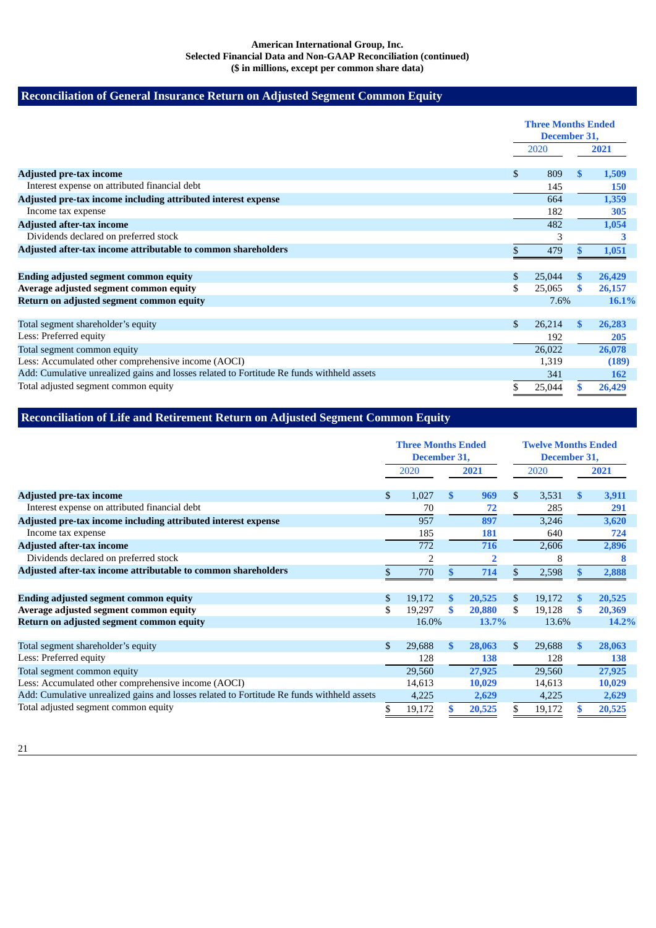## **Reconciliation of General Insurance Return on Adjusted Segment Common Equity**

|                                                                                           |              | <b>Three Months Ended</b><br>December 31, |          |              |  |  |
|-------------------------------------------------------------------------------------------|--------------|-------------------------------------------|----------|--------------|--|--|
|                                                                                           |              | 2020                                      |          | 2021         |  |  |
|                                                                                           |              |                                           |          |              |  |  |
| <b>Adjusted pre-tax income</b>                                                            | \$           | 809                                       | S        | 1,509        |  |  |
| Interest expense on attributed financial debt                                             |              | 145                                       |          | <b>150</b>   |  |  |
| Adjusted pre-tax income including attributed interest expense                             |              | 664                                       |          | 1,359        |  |  |
| Income tax expense                                                                        |              | 182                                       |          | 305          |  |  |
| <b>Adjusted after-tax income</b>                                                          |              | 482                                       |          | 1,054        |  |  |
| Dividends declared on preferred stock                                                     |              | 3                                         |          | 3            |  |  |
| Adjusted after-tax income attributable to common shareholders                             |              | 479                                       |          | 1,051        |  |  |
|                                                                                           |              |                                           |          |              |  |  |
| Ending adjusted segment common equity                                                     | \$           | 25,044                                    |          | 26,429       |  |  |
| Average adjusted segment common equity                                                    | \$           | 25,065                                    |          | 26,157       |  |  |
| Return on adjusted segment common equity                                                  |              | 7.6%                                      |          | <b>16.1%</b> |  |  |
| Total segment shareholder's equity                                                        | $\mathbb{S}$ | 26,214                                    | <b>S</b> | 26,283       |  |  |
| Less: Preferred equity                                                                    |              | 192                                       |          | 205          |  |  |
| Total segment common equity                                                               |              | 26,022                                    |          | 26,078       |  |  |
| Less: Accumulated other comprehensive income (AOCI)                                       |              | 1,319                                     |          | (189)        |  |  |
| Add: Cumulative unrealized gains and losses related to Fortitude Re funds withheld assets |              | 341                                       |          | 162          |  |  |
| Total adjusted segment common equity                                                      |              | 25,044                                    |          | 26,429       |  |  |

## **Reconciliation of Life and Retirement Return on Adjusted Segment Common Equity**

|                                                                                           | <b>Three Months Ended</b><br>December 31, |              |                |        |               | <b>Twelve Months Ended</b><br>December 31, |          |        |
|-------------------------------------------------------------------------------------------|-------------------------------------------|--------------|----------------|--------|---------------|--------------------------------------------|----------|--------|
|                                                                                           |                                           | 2021<br>2020 |                | 2020   |               |                                            | 2021     |        |
| <b>Adjusted pre-tax income</b>                                                            | \$                                        | 1,027        | \$             | 969    | \$            | 3,531                                      | <b>S</b> | 3,911  |
| Interest expense on attributed financial debt                                             | 70                                        |              | 72             |        |               | 285                                        |          |        |
| Adjusted pre-tax income including attributed interest expense                             | 957                                       |              |                | 897    |               | 3,246                                      |          | 3,620  |
| Income tax expense                                                                        | 185                                       |              | <b>181</b>     |        |               |                                            | 724      |        |
| <b>Adjusted after-tax income</b>                                                          | 772                                       |              | 716            |        | 2,606         |                                            | 2,896    |        |
| Dividends declared on preferred stock                                                     | 2                                         |              | 2              |        | 8             |                                            | -8       |        |
| Adjusted after-tax income attributable to common shareholders                             | 770<br>\$                                 |              | $\mathbf{s}$   | 714    | \$            | 2,598                                      |          | 2,888  |
|                                                                                           |                                           |              |                |        |               |                                            |          |        |
| Ending adjusted segment common equity                                                     | \$                                        | 19.172       | $\mathbf{s}$   | 20,525 | \$            | 19,172                                     | <b>S</b> | 20,525 |
| Average adjusted segment common equity                                                    | \$                                        | 19.297       | \$.            | 20,880 | \$            | 19,128                                     |          | 20,369 |
| Return on adjusted segment common equity                                                  |                                           |              | 16.0%<br>13.7% |        | 13.6%         |                                            |          | 14.2%  |
| Total segment shareholder's equity                                                        | \$                                        | 29,688       | \$             | 28,063 | <sup>\$</sup> | 29,688                                     |          | 28,063 |
| Less: Preferred equity                                                                    | 128                                       |              |                | 138    |               | 128                                        |          | 138    |
| Total segment common equity                                                               |                                           | 29,560       |                | 27,925 |               | 29,560                                     |          | 27,925 |
| Less: Accumulated other comprehensive income (AOCI)                                       |                                           | 14,613       |                | 10,029 |               | 14,613                                     |          | 10,029 |
| Add: Cumulative unrealized gains and losses related to Fortitude Re funds withheld assets |                                           | 4,225        |                | 2,629  |               | 4,225                                      |          | 2,629  |
| Total adjusted segment common equity                                                      | \$                                        | 19,172       |                | 20,525 |               | 19,172                                     |          | 20,525 |